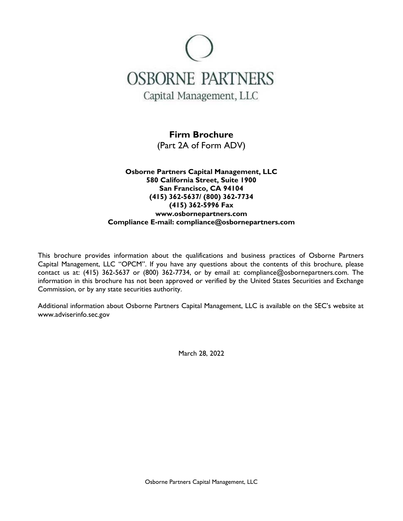

# **Firm Brochure**

(Part 2A of Form ADV)

## **Osborne Partners Capital Management, LLC 580 California Street, Suite 1900 San Francisco, CA 94104 (415) 362-5637/ (800) 362-7734 (415) 362-5996 Fax www.osbornepartners.com Compliance E-mail: compliance@osbornepartners.com**

This brochure provides information about the qualifications and business practices of Osborne Partners Capital Management, LLC "OPCM". If you have any questions about the contents of this brochure, please contact us at: (415) 362-5637 or (800) 362-7734, or by email at: compliance@osbornepartners.com. The information in this brochure has not been approved or verified by the United States Securities and Exchange Commission, or by any state securities authority.

Additional information about Osborne Partners Capital Management, LLC is available on the SEC's website at www.adviserinfo.sec.gov

March 28, 2022

Osborne Partners Capital Management, LLC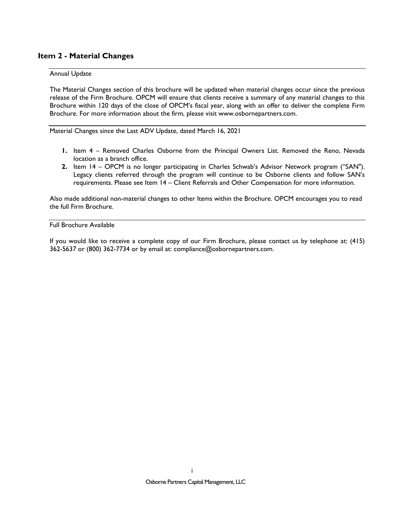## **Item 2 - Material Changes**

#### Annual Update

The Material Changes section of this brochure will be updated when material changes occur since the previous release of the Firm Brochure. OPCM will ensure that clients receive a summary of any material changes to this Brochure within 120 days of the close of OPCM's fiscal year, along with an offer to deliver the complete Firm Brochure. For more information about the firm, please visit www.osbornepartners.com.

Material Changes since the Last ADV Update, dated March 16, 2021

- **1.** Item 4 Removed Charles Osborne from the Principal Owners List. Removed the Reno, Nevada location as a branch office.
- **2.** Item 14 OPCM is no longer participating in Charles Schwab's Advisor Network program ("SAN"). Legacy clients referred through the program will continue to be Osborne clients and follow SAN's requirements. Please see Item 14 – Client Referrals and Other Compensation for more information.

Also made additional non-material changes to other Items within the Brochure. OPCM encourages you to read the full Firm Brochure.

Full Brochure Available

If you would like to receive a complete copy of our Firm Brochure, please contact us by telephone at: (415) 362-5637 or (800) 362-7734 or by email at: compliance@osbornepartners.com.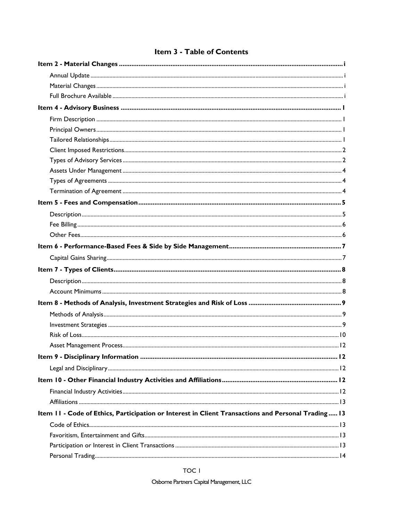# Item 3 - Table of Contents

| Item II - Code of Ethics, Participation or Interest in Client Transactions and Personal Trading 13 |  |
|----------------------------------------------------------------------------------------------------|--|
|                                                                                                    |  |
|                                                                                                    |  |
|                                                                                                    |  |
|                                                                                                    |  |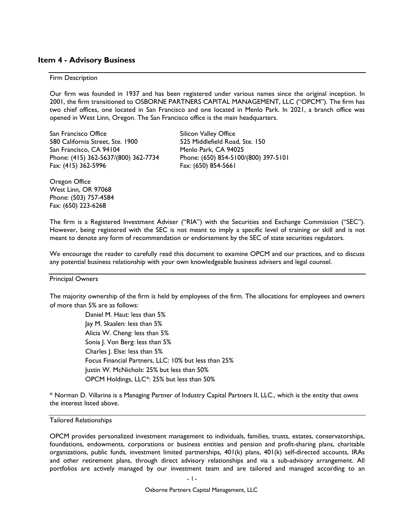### **Item 4 - Advisory Business**

#### Firm Description

Our firm was founded in 1937 and has been registered under various names since the original inception. In 2001, the firm transitioned to OSBORNE PARTNERS CAPITAL MANAGEMENT, LLC ("OPCM"). The firm has two chief offices, one located in San Francisco and one located in Menlo Park. In 2021, a branch office was opened in West Linn, Oregon. The San Francisco office is the main headquarters.

San Francisco Office Silicon Valley Office 580 California Street, Ste. 1900 525 Middlefield Road, Ste. 150 San Francisco, CA 94104 Menlo Park, CA 94025 Phone: (415) 362-5637/(800) 362-7734 Phone: (650) 854-5100/(800) 397-5101 Fax: (415) 362-5996 Fax: (650) 854-5661

Oregon Office West Linn, OR 97068 Phone: (503) 757-4584 Fax: (650) 223-6268

The firm is a Registered Investment Adviser ("RIA") with the Securities and Exchange Commission ("SEC"). However, being registered with the SEC is not meant to imply a specific level of training or skill and is not meant to denote any form of recommendation or endorsement by the SEC of state securities regulators.

We encourage the reader to carefully read this document to examine OPCM and our practices, and to discuss any potential business relationship with your own knowledgeable business advisers and legal counsel.

#### Principal Owners

The majority ownership of the firm is held by employees of the firm. The allocations for employees and owners of more than 5% are as follows:

> Daniel M. Haut: less than 5% Jay M. Skaalen: less than 5% Alicia W. Cheng: less than 5% Sonia J. Von Berg: less than 5% Charles J. Else: less than 5% Focus Financial Partners, LLC: 10% but less than 25% Justin W. McNichols: 25% but less than 50% OPCM Holdings, LLC\*: 25% but less than 50%

\* Norman D. Villarina is a Managing Partner of Industry Capital Partners II, LLC., which is the entity that owns the interest listed above.

#### Tailored Relationships

OPCM provides personalized investment management to individuals, families, trusts, estates, conservatorships, foundations, endowments, corporations or business entities and pension and profit-sharing plans, charitable organizations, public funds, investment limited partnerships, 401(k) plans, 401(k) self-directed accounts, IRAs and other retirement plans, through direct advisory relationships and via a sub-advisory arrangement. All portfolios are actively managed by our investment team and are tailored and managed according to an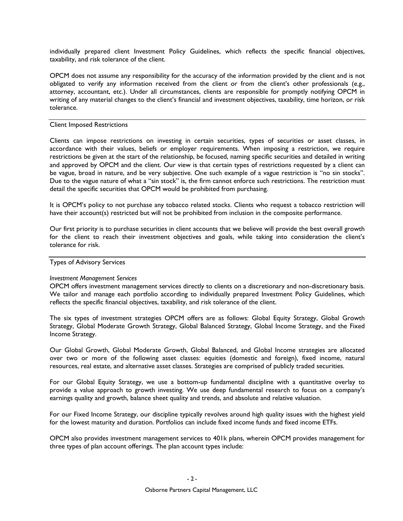individually prepared client Investment Policy Guidelines, which reflects the specific financial objectives, taxability, and risk tolerance of the client.

OPCM does not assume any responsibility for the accuracy of the information provided by the client and is not obligated to verify any information received from the client or from the client's other professionals (e.g., attorney, accountant, etc.). Under all circumstances, clients are responsible for promptly notifying OPCM in writing of any material changes to the client's financial and investment objectives, taxability, time horizon, or risk tolerance.

#### Client Imposed Restrictions

Clients can impose restrictions on investing in certain securities, types of securities or asset classes, in accordance with their values, beliefs or employer requirements. When imposing a restriction, we require restrictions be given at the start of the relationship, be focused, naming specific securities and detailed in writing and approved by OPCM and the client. Our view is that certain types of restrictions requested by a client can be vague, broad in nature, and be very subjective. One such example of a vague restriction is "no sin stocks". Due to the vague nature of what a "sin stock" is, the firm cannot enforce such restrictions. The restriction must detail the specific securities that OPCM would be prohibited from purchasing.

It is OPCM's policy to not purchase any tobacco related stocks. Clients who request a tobacco restriction will have their account(s) restricted but will not be prohibited from inclusion in the composite performance.

Our first priority is to purchase securities in client accounts that we believe will provide the best overall growth for the client to reach their investment objectives and goals, while taking into consideration the client's tolerance for risk.

#### Types of Advisory Services

#### *Investment Management Services*

OPCM offers investment management services directly to clients on a discretionary and non-discretionary basis. We tailor and manage each portfolio according to individually prepared Investment Policy Guidelines, which reflects the specific financial objectives, taxability, and risk tolerance of the client.

The six types of investment strategies OPCM offers are as follows: Global Equity Strategy, Global Growth Strategy, Global Moderate Growth Strategy, Global Balanced Strategy, Global Income Strategy, and the Fixed Income Strategy.

Our Global Growth, Global Moderate Growth, Global Balanced, and Global Income strategies are allocated over two or more of the following asset classes: equities (domestic and foreign), fixed income, natural resources, real estate, and alternative asset classes. Strategies are comprised of publicly traded securities.

For our Global Equity Strategy, we use a bottom-up fundamental discipline with a quantitative overlay to provide a value approach to growth investing. We use deep fundamental research to focus on a company's earnings quality and growth, balance sheet quality and trends, and absolute and relative valuation.

For our Fixed Income Strategy, our discipline typically revolves around high quality issues with the highest yield for the lowest maturity and duration. Portfolios can include fixed income funds and fixed income ETFs.

OPCM also provides investment management services to 401k plans, wherein OPCM provides management for three types of plan account offerings. The plan account types include: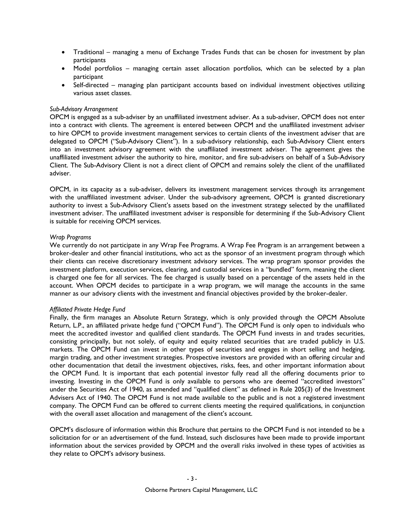- Traditional managing a menu of Exchange Trades Funds that can be chosen for investment by plan participants
- Model portfolios managing certain asset allocation portfolios, which can be selected by a plan participant
- Self-directed managing plan participant accounts based on individual investment objectives utilizing various asset classes.

#### *Sub-Advisory Arrangement*

OPCM is engaged as a sub-adviser by an unaffiliated investment adviser. As a sub-adviser, OPCM does not enter into a contract with clients. The agreement is entered between OPCM and the unaffiliated investment adviser to hire OPCM to provide investment management services to certain clients of the investment adviser that are delegated to OPCM ("Sub-Advisory Client"). In a sub-advisory relationship, each Sub-Advisory Client enters into an investment advisory agreement with the unaffiliated investment adviser. The agreement gives the unaffiliated investment adviser the authority to hire, monitor, and fire sub-advisers on behalf of a Sub-Advisory Client. The Sub-Advisory Client is not a direct client of OPCM and remains solely the client of the unaffiliated adviser.

OPCM, in its capacity as a sub-adviser, delivers its investment management services through its arrangement with the unaffiliated investment adviser. Under the sub-advisory agreement, OPCM is granted discretionary authority to invest a Sub-Advisory Client's assets based on the investment strategy selected by the unaffiliated investment adviser. The unaffiliated investment adviser is responsible for determining if the Sub-Advisory Client is suitable for receiving OPCM services.

#### *Wrap Programs*

We currently do not participate in any Wrap Fee Programs. A Wrap Fee Program is an arrangement between a broker-dealer and other financial institutions, who act as the sponsor of an investment program through which their clients can receive discretionary investment advisory services. The wrap program sponsor provides the investment platform, execution services, clearing, and custodial services in a "bundled" form, meaning the client is charged one fee for all services. The fee charged is usually based on a percentage of the assets held in the account. When OPCM decides to participate in a wrap program, we will manage the accounts in the same manner as our advisory clients with the investment and financial objectives provided by the broker-dealer.

#### *Affiliated Private Hedge Fund*

Finally, the firm manages an Absolute Return Strategy, which is only provided through the OPCM Absolute Return, L.P., an affiliated private hedge fund ("OPCM Fund"). The OPCM Fund is only open to individuals who meet the accredited investor and qualified client standards. The OPCM Fund invests in and trades securities, consisting principally, but not solely, of equity and equity related securities that are traded publicly in U.S. markets. The OPCM Fund can invest in other types of securities and engages in short selling and hedging, margin trading, and other investment strategies. Prospective investors are provided with an offering circular and other documentation that detail the investment objectives, risks, fees, and other important information about the OPCM Fund. It is important that each potential investor fully read all the offering documents prior to investing. Investing in the OPCM Fund is only available to persons who are deemed "accredited investors" under the Securities Act of 1940, as amended and "qualified client" as defined in Rule 205(3) of the Investment Advisers Act of 1940. The OPCM Fund is not made available to the public and is not a registered investment company. The OPCM Fund can be offered to current clients meeting the required qualifications, in conjunction with the overall asset allocation and management of the client's account.

OPCM's disclosure of information within this Brochure that pertains to the OPCM Fund is not intended to be a solicitation for or an advertisement of the fund. Instead, such disclosures have been made to provide important information about the services provided by OPCM and the overall risks involved in these types of activities as they relate to OPCM's advisory business.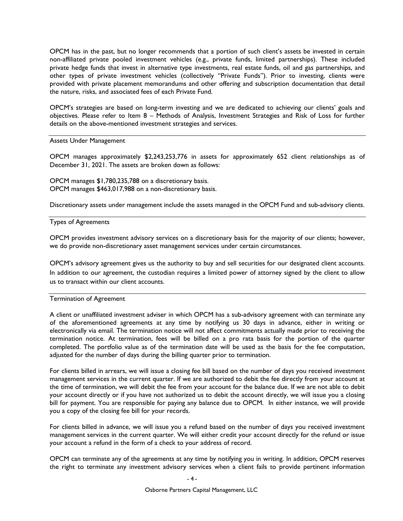OPCM has in the past, but no longer recommends that a portion of such client's assets be invested in certain non-affiliated private pooled investment vehicles (e.g., private funds, limited partnerships). These included private hedge funds that invest in alternative type investments, real estate funds, oil and gas partnerships, and other types of private investment vehicles (collectively "Private Funds"). Prior to investing, clients were provided with private placement memorandums and other offering and subscription documentation that detail the nature, risks, and associated fees of each Private Fund.

OPCM's strategies are based on long-term investing and we are dedicated to achieving our clients' goals and objectives. Please refer to Item 8 – Methods of Analysis, Investment Strategies and Risk of Loss for further details on the above-mentioned investment strategies and services.

#### Assets Under Management

OPCM manages approximately \$2,243,253,776 in assets for approximately 652 client relationships as of December 31, 2021. The assets are broken down as follows:

OPCM manages \$1,780,235,788 on a discretionary basis. OPCM manages \$463,017,988 on a non-discretionary basis.

Discretionary assets under management include the assets managed in the OPCM Fund and sub-advisory clients.

#### Types of Agreements

OPCM provides investment advisory services on a discretionary basis for the majority of our clients; however, we do provide non-discretionary asset management services under certain circumstances.

OPCM's advisory agreement gives us the authority to buy and sell securities for our designated client accounts. In addition to our agreement, the custodian requires a limited power of attorney signed by the client to allow us to transact within our client accounts.

#### Termination of Agreement

A client or unaffiliated investment adviser in which OPCM has a sub-advisory agreement with can terminate any of the aforementioned agreements at any time by notifying us 30 days in advance, either in writing or electronically via email. The termination notice will not affect commitments actually made prior to receiving the termination notice. At termination, fees will be billed on a pro rata basis for the portion of the quarter completed. The portfolio value as of the termination date will be used as the basis for the fee computation, adjusted for the number of days during the billing quarter prior to termination.

For clients billed in arrears, we will issue a closing fee bill based on the number of days you received investment management services in the current quarter. If we are authorized to debit the fee directly from your account at the time of termination, we will debit the fee from your account for the balance due. If we are not able to debit your account directly or if you have not authorized us to debit the account directly, we will issue you a closing bill for payment. You are responsible for paying any balance due to OPCM. In either instance, we will provide you a copy of the closing fee bill for your records.

For clients billed in advance, we will issue you a refund based on the number of days you received investment management services in the current quarter. We will either credit your account directly for the refund or issue your account a refund in the form of a check to your address of record.

OPCM can terminate any of the agreements at any time by notifying you in writing. In addition, OPCM reserves the right to terminate any investment advisory services when a client fails to provide pertinent information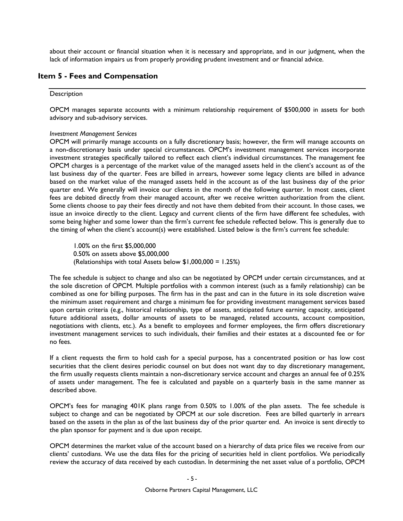about their account or financial situation when it is necessary and appropriate, and in our judgment, when the lack of information impairs us from properly providing prudent investment and or financial advice.

## **Item 5 - Fees and Compensation**

#### **Description**

OPCM manages separate accounts with a minimum relationship requirement of \$500,000 in assets for both advisory and sub-advisory services.

#### *Investment Management Services*

OPCM will primarily manage accounts on a fully discretionary basis; however, the firm will manage accounts on a non-discretionary basis under special circumstances. OPCM's investment management services incorporate investment strategies specifically tailored to reflect each client's individual circumstances. The management fee OPCM charges is a percentage of the market value of the managed assets held in the client's account as of the last business day of the quarter. Fees are billed in arrears, however some legacy clients are billed in advance based on the market value of the managed assets held in the account as of the last business day of the prior quarter end. We generally will invoice our clients in the month of the following quarter. In most cases, client fees are debited directly from their managed account, after we receive written authorization from the client. Some clients choose to pay their fees directly and not have them debited from their account. In those cases, we issue an invoice directly to the client. Legacy and current clients of the firm have different fee schedules, with some being higher and some lower than the firm's current fee schedule reflected below. This is generally due to the timing of when the client's account(s) were established. Listed below is the firm's current fee schedule:

1.00% on the first \$5,000,000 0.50% on assets above \$5,000,000 (Relationships with total Assets below \$1,000,000 = 1.25%)

The fee schedule is subject to change and also can be negotiated by OPCM under certain circumstances, and at the sole discretion of OPCM. Multiple portfolios with a common interest (such as a family relationship) can be combined as one for billing purposes. The firm has in the past and can in the future in its sole discretion waive the minimum asset requirement and charge a minimum fee for providing investment management services based upon certain criteria (e.g., historical relationship, type of assets, anticipated future earning capacity, anticipated future additional assets, dollar amounts of assets to be managed, related accounts, account composition, negotiations with clients, etc.). As a benefit to employees and former employees, the firm offers discretionary investment management services to such individuals, their families and their estates at a discounted fee or for no fees.

If a client requests the firm to hold cash for a special purpose, has a concentrated position or has low cost securities that the client desires periodic counsel on but does not want day to day discretionary management, the firm usually requests clients maintain a non-discretionary service account and charges an annual fee of 0.25% of assets under management. The fee is calculated and payable on a quarterly basis in the same manner as described above.

OPCM's fees for managing 401K plans range from 0.50% to 1.00% of the plan assets. The fee schedule is subject to change and can be negotiated by OPCM at our sole discretion. Fees are billed quarterly in arrears based on the assets in the plan as of the last business day of the prior quarter end. An invoice is sent directly to the plan sponsor for payment and is due upon receipt.

OPCM determines the market value of the account based on a hierarchy of data price files we receive from our clients' custodians. We use the data files for the pricing of securities held in client portfolios. We periodically review the accuracy of data received by each custodian. In determining the net asset value of a portfolio, OPCM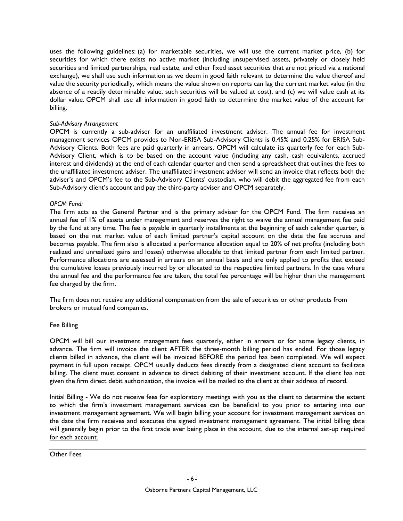uses the following guidelines: (a) for marketable securities, we will use the current market price, (b) for securities for which there exists no active market (including unsupervised assets, privately or closely held securities and limited partnerships, real estate, and other fixed asset securities that are not priced via a national exchange), we shall use such information as we deem in good faith relevant to determine the value thereof and value the security periodically, which means the value shown on reports can lag the current market value (in the absence of a readily determinable value, such securities will be valued at cost), and (c) we will value cash at its dollar value. OPCM shall use all information in good faith to determine the market value of the account for billing.

#### *Sub-Advisory Arrangement*

OPCM is currently a sub-adviser for an unaffiliated investment adviser. The annual fee for investment management services OPCM provides to Non-ERISA Sub-Advisory Clients is 0.45% and 0.25% for ERISA Sub-Advisory Clients. Both fees are paid quarterly in arrears. OPCM will calculate its quarterly fee for each Sub-Advisory Client, which is to be based on the account value (including any cash, cash equivalents, accrued interest and dividends) at the end of each calendar quarter and then send a spreadsheet that outlines the fees to the unaffiliated investment adviser. The unaffiliated investment adviser will send an invoice that reflects both the adviser's and OPCM's fee to the Sub-Advisory Clients' custodian, who will debit the aggregated fee from each Sub-Advisory client's account and pay the third-party adviser and OPCM separately.

### *OPCM Fund:*

The firm acts as the General Partner and is the primary adviser for the OPCM Fund. The firm receives an annual fee of 1% of assets under management and reserves the right to waive the annual management fee paid by the fund at any time. The fee is payable in quarterly installments at the beginning of each calendar quarter, is based on the net market value of each limited partner's capital account on the date the fee accrues and becomes payable. The firm also is allocated a performance allocation equal to 20% of net profits (including both realized and unrealized gains and losses) otherwise allocable to that limited partner from each limited partner. Performance allocations are assessed in arrears on an annual basis and are only applied to profits that exceed the cumulative losses previously incurred by or allocated to the respective limited partners. In the case where the annual fee and the performance fee are taken, the total fee percentage will be higher than the management fee charged by the firm.

The firm does not receive any additional compensation from the sale of securities or other products from brokers or mutual fund companies.

#### Fee Billing

OPCM will bill our investment management fees quarterly, either in arrears or for some legacy clients, in advance. The firm will invoice the client AFTER the three-month billing period has ended. For those legacy clients billed in advance, the client will be invoiced BEFORE the period has been completed. We will expect payment in full upon receipt. OPCM usually deducts fees directly from a designated client account to facilitate billing. The client must consent in advance to direct debiting of their investment account. If the client has not given the firm direct debit authorization, the invoice will be mailed to the client at their address of record.

Initial Billing - We do not receive fees for exploratory meetings with you as the client to determine the extent to which the firm's investment management services can be beneficial to you prior to entering into our investment management agreement. We will begin billing your account for investment management services on the date the firm receives and executes the signed investment management agreement. The initial billing date will generally begin prior to the first trade ever being place in the account, due to the internal set-up required for each account.

Other Fees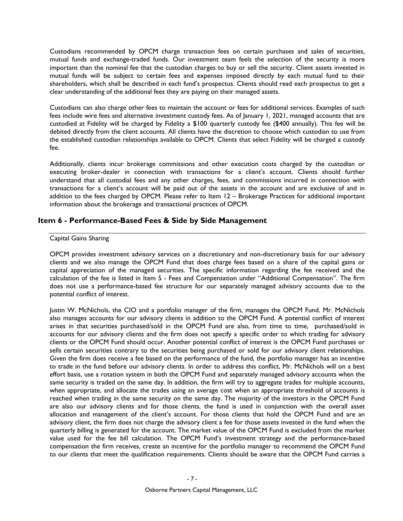Custodians recommended by OPCM charge transaction fees on certain purchases and sales of securities, mutual funds and exchange-traded funds. Our investment team feels the selection of the security is more important than the nominal fee that the custodian charges to buy or sell the security. Client assets invested in mutual funds will be subject to certain fees and expenses imposed directly by each mutual fund to their shareholders, which shall be described in each fund's prospectus. Clients should read each prospectus to get a clear understanding of the additional fees they are paying on their managed assets.

Custodians can also charge other fees to maintain the account or fees for additional services. Examples of such fees include wire fees and alternative investment custody fees. As of January 1, 2021, managed accounts that are custodied at Fidelity will be charged by Fidelity a \$100 quarterly custody fee (\$400 annually). This fee will be debited directly from the client accounts. All clients have the discretion to choose which custodian to use from the established custodian relationships available to OPCM. Clients that select Fidelity will be charged a custody fee.

Additionally, clients incur brokerage commissions and other execution costs charged by the custodian or executing broker-dealer in connection with transactions for a client's account. Clients should further understand that all custodial fees and any other charges, fees, and commissions incurred in connection with transactions for a client's account will be paid out of the assets in the account and are exclusive of and in addition to the fees charged by OPCM. Please refer to Item 12 – Brokerage Practices for additional important information about the brokerage and transactional practices of OPCM.

### **Item 6 - Performance-Based Fees & Side by Side Management**

#### Capital Gains Sharing

OPCM provides investment advisory services on a discretionary and non-discretionary basis for our advisory clients and we also manage the OPCM Fund that does charge fees based on a share of the capital gains or capital appreciation of the managed securities. The specific information regarding the fee received and the calculation of the fee is listed in Item 5 - Fees and Compensation under "Additional Compensation". The firm does not use a performance-based fee structure for our separately managed advisory accounts due to the potential conflict of interest.

Justin W. McNichols, the CIO and a portfolio manager of the firm, manages the OPCM Fund. Mr. McNichols also manages accounts for our advisory clients in addition to the OPCM Fund. A potential conflict of interest arises in that securities purchased/sold in the OPCM Fund are also, from time to time, purchased/sold in accounts for our advisory clients and the firm does not specify a specific order to which trading for advisory clients or the OPCM Fund should occur. Another potential conflict of interest is the OPCM Fund purchases or sells certain securities contrary to the securities being purchased or sold for our advisory client relationships. Given the firm does receive a fee based on the performance of the fund, the portfolio manager has an incentive to trade in the fund before our advisory clients. In order to address this conflict, Mr. McNichols will on a best effort basis, use a rotation system in both the OPCM Fund and separately managed advisory accounts when the same security is traded on the same day. In addition, the firm will try to aggregate trades for multiple accounts, when appropriate, and allocate the trades using an average cost when an appropriate threshold of accounts is reached when trading in the same security on the same day. The majority of the investors in the OPCM Fund are also our advisory clients and for those clients, the fund is used in conjunction with the overall asset allocation and management of the client's account. For those clients that hold the OPCM Fund and are an advisory client, the firm does not charge the advisory client a fee for those assets invested in the fund when the quarterly billing is generated for the account. The market value of the OPCM Fund is excluded from the market value used for the fee bill calculation. The OPCM Fund's investment strategy and the performance-based compensation the firm receives, create an incentive for the portfolio manager to recommend the OPCM Fund to our clients that meet the qualification requirements. Clients should be aware that the OPCM Fund carries a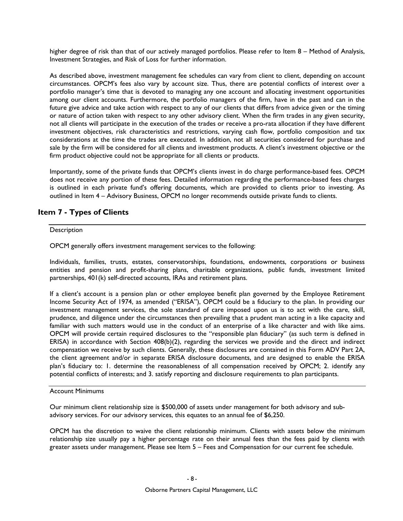higher degree of risk than that of our actively managed portfolios. Please refer to Item 8 – Method of Analysis, Investment Strategies, and Risk of Loss for further information.

As described above, investment management fee schedules can vary from client to client, depending on account circumstances. OPCM's fees also vary by account size. Thus, there are potential conflicts of interest over a portfolio manager's time that is devoted to managing any one account and allocating investment opportunities among our client accounts. Furthermore, the portfolio managers of the firm, have in the past and can in the future give advice and take action with respect to any of our clients that differs from advice given or the timing or nature of action taken with respect to any other advisory client. When the firm trades in any given security, not all clients will participate in the execution of the trades or receive a pro-rata allocation if they have different investment objectives, risk characteristics and restrictions, varying cash flow, portfolio composition and tax considerations at the time the trades are executed. In addition, not all securities considered for purchase and sale by the firm will be considered for all clients and investment products. A client's investment objective or the firm product objective could not be appropriate for all clients or products.

Importantly, some of the private funds that OPCM's clients invest in do charge performance-based fees. OPCM does not receive any portion of these fees. Detailed information regarding the performance-based fees charges is outlined in each private fund's offering documents, which are provided to clients prior to investing. As outlined in Item 4 – Advisory Business, OPCM no longer recommends outside private funds to clients.

# **Item 7 - Types of Clients**

#### **Description**

OPCM generally offers investment management services to the following:

Individuals, families, trusts, estates, conservatorships, foundations, endowments, corporations or business entities and pension and profit-sharing plans, charitable organizations, public funds, investment limited partnerships, 401(k) self-directed accounts, IRAs and retirement plans.

If a client's account is a pension plan or other employee benefit plan governed by the Employee Retirement Income Security Act of 1974, as amended ("ERISA"), OPCM could be a fiduciary to the plan. In providing our investment management services, the sole standard of care imposed upon us is to act with the care, skill, prudence, and diligence under the circumstances then prevailing that a prudent man acting in a like capacity and familiar with such matters would use in the conduct of an enterprise of a like character and with like aims. OPCM will provide certain required disclosures to the "responsible plan fiduciary" (as such term is defined in ERISA) in accordance with Section 408(b)(2), regarding the services we provide and the direct and indirect compensation we receive by such clients. Generally, these disclosures are contained in this Form ADV Part 2A, the client agreement and/or in separate ERISA disclosure documents, and are designed to enable the ERISA plan's fiduciary to: 1. determine the reasonableness of all compensation received by OPCM; 2. identify any potential conflicts of interests; and 3. satisfy reporting and disclosure requirements to plan participants.

### Account Minimums

Our minimum client relationship size is \$500,000 of assets under management for both advisory and subadvisory services. For our advisory services, this equates to an annual fee of \$6,250.

OPCM has the discretion to waive the client relationship minimum. Clients with assets below the minimum relationship size usually pay a higher percentage rate on their annual fees than the fees paid by clients with greater assets under management. Please see Item 5 – Fees and Compensation for our current fee schedule.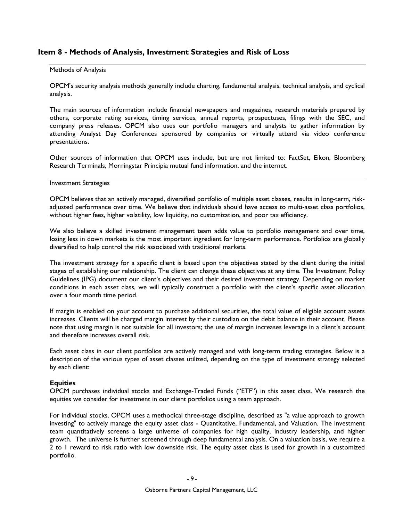## **Item 8 - Methods of Analysis, Investment Strategies and Risk of Loss**

#### Methods of Analysis

OPCM's security analysis methods generally include charting, fundamental analysis, technical analysis, and cyclical analysis.

The main sources of information include financial newspapers and magazines, research materials prepared by others, corporate rating services, timing services, annual reports, prospectuses, filings with the SEC, and company press releases. OPCM also uses our portfolio managers and analysts to gather information by attending Analyst Day Conferences sponsored by companies or virtually attend via video conference presentations.

Other sources of information that OPCM uses include, but are not limited to: FactSet, Eikon, Bloomberg Research Terminals, Morningstar Principia mutual fund information, and the internet.

#### Investment Strategies

OPCM believes that an actively managed, diversified portfolio of multiple asset classes, results in long-term, riskadjusted performance over time. We believe that individuals should have access to multi-asset class portfolios, without higher fees, higher volatility, low liquidity, no customization, and poor tax efficiency.

We also believe a skilled investment management team adds value to portfolio management and over time, losing less in down markets is the most important ingredient for long-term performance. Portfolios are globally diversified to help control the risk associated with traditional markets.

The investment strategy for a specific client is based upon the objectives stated by the client during the initial stages of establishing our relationship. The client can change these objectives at any time. The Investment Policy Guidelines (IPG) document our client's objectives and their desired investment strategy. Depending on market conditions in each asset class, we will typically construct a portfolio with the client's specific asset allocation over a four month time period.

If margin is enabled on your account to purchase additional securities, the total value of eligible account assets increases. Clients will be charged margin interest by their custodian on the debit balance in their account. Please note that using margin is not suitable for all investors; the use of margin increases leverage in a client's account and therefore increases overall risk.

Each asset class in our client portfolios are actively managed and with long-term trading strategies. Below is a description of the various types of asset classes utilized, depending on the type of investment strategy selected by each client:

#### **Equities**

OPCM purchases individual stocks and Exchange-Traded Funds ("ETF") in this asset class. We research the equities we consider for investment in our client portfolios using a team approach.

For individual stocks, OPCM uses a methodical three-stage discipline, described as "a value approach to growth investing" to actively manage the equity asset class - Quantitative, Fundamental, and Valuation. The investment team quantitatively screens a large universe of companies for high quality, industry leadership, and higher growth. The universe is further screened through deep fundamental analysis. On a valuation basis, we require a 2 to 1 reward to risk ratio with low downside risk. The equity asset class is used for growth in a customized portfolio.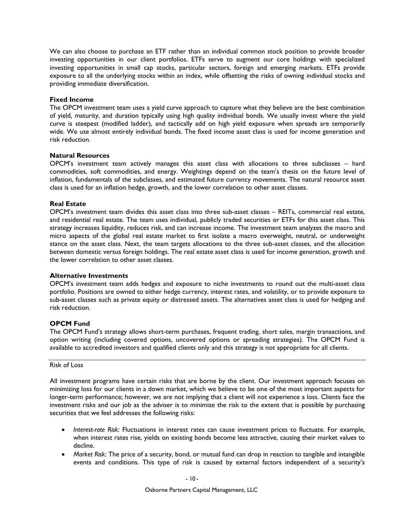We can also choose to purchase an ETF rather than an individual common stock position to provide broader investing opportunities in our client portfolios. ETFs serve to augment our core holdings with specialized investing opportunities in small cap stocks, particular sectors, foreign and emerging markets. ETFs provide exposure to all the underlying stocks within an index, while offsetting the risks of owning individual stocks and providing immediate diversification.

#### **Fixed Income**

The OPCM investment team uses a yield curve approach to capture what they believe are the best combination of yield, maturity, and duration typically using high quality individual bonds. We usually invest where the yield curve is steepest (modified ladder), and tactically add on high yield exposure when spreads are temporarily wide. We use almost entirely individual bonds. The fixed income asset class is used for income generation and risk reduction.

### **Natural Resources**

OPCM's investment team actively manages this asset class with allocations to three subclasses – hard commodities, soft commodities, and energy. Weightings depend on the team's thesis on the future level of inflation, fundamentals of the subclasses, and estimated future currency movements. The natural resource asset class is used for an inflation hedge, growth, and the lower correlation to other asset classes.

### **Real Estate**

OPCM's investment team divides this asset class into three sub-asset classes – REITs, commercial real estate, and residential real estate. The team uses individual, publicly traded securities or ETFs for this asset class. This strategy increases liquidity, reduces risk, and can increase income. The investment team analyzes the macro and micro aspects of the global real estate market to first isolate a macro overweight, neutral, or underweight stance on the asset class. Next, the team targets allocations to the three sub-asset classes, and the allocation between domestic versus foreign holdings. The real estate asset class is used for income generation, growth and the lower correlation to other asset classes.

#### **Alternative Investments**

OPCM's investment team adds hedges and exposure to niche investments to round out the multi-asset class portfolio. Positions are owned to either hedge currency, interest rates, and volatility, or to provide exposure to sub-asset classes such as private equity or distressed assets. The alternatives asset class is used for hedging and risk reduction.

### **OPCM Fund**

The OPCM Fund's strategy allows short-term purchases, frequent trading, short sales, margin transactions, and option writing (including covered options, uncovered options or spreading strategies). The OPCM Fund is available to accredited investors and qualified clients only and this strategy is not appropriate for all clients.

#### Risk of Loss

All investment programs have certain risks that are borne by the client. Our investment approach focuses on minimizing loss for our clients in a down market, which we believe to be one of the most important aspects for longer-term performance; however, we are not implying that a client will not experience a loss. Clients face the investment risks and our job as the adviser is to minimize the risk to the extent that is possible by purchasing securities that we feel addresses the following risks:

- *Interest-rate Risk:* Fluctuations in interest rates can cause investment prices to fluctuate. For example, when interest rates rise, yields on existing bonds become less attractive, causing their market values to decline.
- *Market Risk:* The price of a security, bond, or mutual fund can drop in reaction to tangible and intangible events and conditions. This type of risk is caused by external factors independent of a security's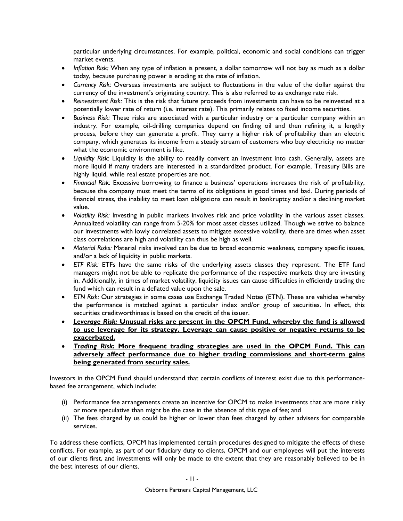particular underlying circumstances. For example, political, economic and social conditions can trigger market events.

- *Inflation Risk:* When any type of inflation is present, a dollar tomorrow will not buy as much as a dollar today, because purchasing power is eroding at the rate of inflation.
- *Currency Risk:* Overseas investments are subject to fluctuations in the value of the dollar against the currency of the investment's originating country. This is also referred to as exchange rate risk.
- *Reinvestment Risk:* This is the risk that future proceeds from investments can have to be reinvested at a potentially lower rate of return (i.e. interest rate). This primarily relates to fixed income securities.
- *Business Risk:* These risks are associated with a particular industry or a particular company within an industry. For example, oil-drilling companies depend on finding oil and then refining it, a lengthy process, before they can generate a profit. They carry a higher risk of profitability than an electric company, which generates its income from a steady stream of customers who buy electricity no matter what the economic environment is like.
- *Liquidity Risk:* Liquidity is the ability to readily convert an investment into cash. Generally, assets are more liquid if many traders are interested in a standardized product. For example, Treasury Bills are highly liquid, while real estate properties are not.
- *Financial Risk:* Excessive borrowing to finance a business' operations increases the risk of profitability, because the company must meet the terms of its obligations in good times and bad. During periods of financial stress, the inability to meet loan obligations can result in bankruptcy and/or a declining market value.
- *Volatility Risk:* Investing in public markets involves risk and price volatility in the various asset classes. Annualized volatility can range from 5-20% for most asset classes utilized. Though we strive to balance our investments with lowly correlated assets to mitigate excessive volatility, there are times when asset class correlations are high and volatility can thus be high as well.
- *Material Risks:* Material risks involved can be due to broad economic weakness, company specific issues, and/or a lack of liquidity in public markets.
- *ETF Risk:* ETFs have the same risks of the underlying assets classes they represent. The ETF fund managers might not be able to replicate the performance of the respective markets they are investing in. Additionally, in times of market volatility, liquidity issues can cause difficulties in efficiently trading the fund which can result in a deflated value upon the sale.
- *ETN Risk:* Our strategies in some cases use Exchange Traded Notes (ETN). These are vehicles whereby the performance is matched against a particular index and/or group of securities. In effect, this securities creditworthiness is based on the credit of the issuer.
- *Leverage Risk:* **Unusual risks are present in the OPCM Fund, whereby the fund is allowed to use leverage for its strategy. Leverage can cause positive or negative returns to be exacerbated.**
- *Trading Risk:* **More frequent trading strategies are used in the OPCM Fund. This can adversely affect performance due to higher trading commissions and short-term gains being generated from security sales.**

Investors in the OPCM Fund should understand that certain conflicts of interest exist due to this performancebased fee arrangement, which include:

- (i) Performance fee arrangements create an incentive for OPCM to make investments that are more risky or more speculative than might be the case in the absence of this type of fee; and
- (ii) The fees charged by us could be higher or lower than fees charged by other advisers for comparable services.

To address these conflicts, OPCM has implemented certain procedures designed to mitigate the effects of these conflicts. For example, as part of our fiduciary duty to clients, OPCM and our employees will put the interests of our clients first, and investments will only be made to the extent that they are reasonably believed to be in the best interests of our clients.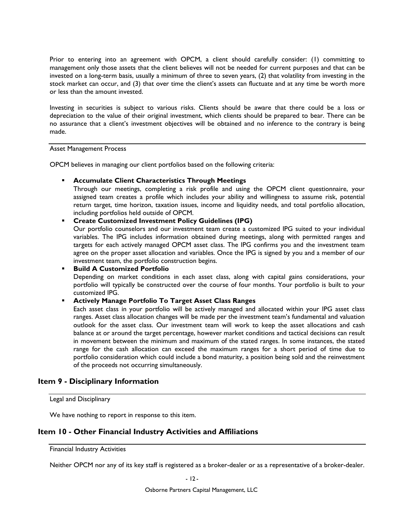Prior to entering into an agreement with OPCM, a client should carefully consider: (1) committing to management only those assets that the client believes will not be needed for current purposes and that can be invested on a long-term basis, usually a minimum of three to seven years, (2) that volatility from investing in the stock market can occur, and (3) that over time the client's assets can fluctuate and at any time be worth more or less than the amount invested.

Investing in securities is subject to various risks. Clients should be aware that there could be a loss or depreciation to the value of their original investment, which clients should be prepared to bear. There can be no assurance that a client's investment objectives will be obtained and no inference to the contrary is being made.

### Asset Management Process

OPCM believes in managing our client portfolios based on the following criteria:

### **Accumulate Client Characteristics Through Meetings**

Through our meetings, completing a risk profile and using the OPCM client questionnaire, your assigned team creates a profile which includes your ability and willingness to assume risk, potential return target, time horizon, taxation issues, income and liquidity needs, and total portfolio allocation, including portfolios held outside of OPCM.

### **Create Customized Investment Policy Guidelines (IPG)**

Our portfolio counselors and our investment team create a customized IPG suited to your individual variables. The IPG includes information obtained during meetings, along with permitted ranges and targets for each actively managed OPCM asset class. The IPG confirms you and the investment team agree on the proper asset allocation and variables. Once the IPG is signed by you and a member of our investment team, the portfolio construction begins.

### **Build A Customized Portfolio**

Depending on market conditions in each asset class, along with capital gains considerations, your portfolio will typically be constructed over the course of four months. Your portfolio is built to your customized IPG.

### **Actively Manage Portfolio To Target Asset Class Ranges**

Each asset class in your portfolio will be actively managed and allocated within your IPG asset class ranges. Asset class allocation changes will be made per the investment team's fundamental and valuation outlook for the asset class. Our investment team will work to keep the asset allocations and cash balance at or around the target percentage, however market conditions and tactical decisions can result in movement between the minimum and maximum of the stated ranges. In some instances, the stated range for the cash allocation can exceed the maximum ranges for a short period of time due to portfolio consideration which could include a bond maturity, a position being sold and the reinvestment of the proceeds not occurring simultaneously.

## **Item 9 - Disciplinary Information**

Legal and Disciplinary

We have nothing to report in response to this item.

## **Item 10 - Other Financial Industry Activities and Affiliations**

Financial Industry Activities

Neither OPCM nor any of its key staff is registered as a broker-dealer or as a representative of a broker-dealer.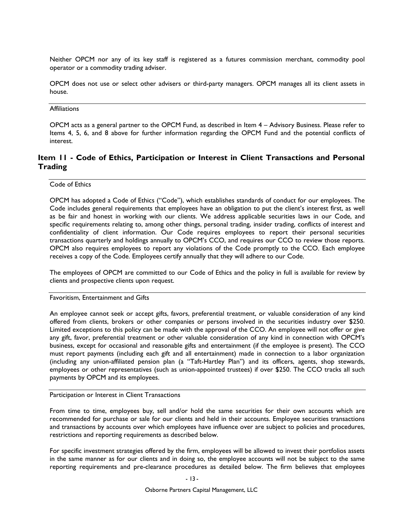Neither OPCM nor any of its key staff is registered as a futures commission merchant, commodity pool operator or a commodity trading adviser.

OPCM does not use or select other advisers or third-party managers. OPCM manages all its client assets in house.

### **Affiliations**

OPCM acts as a general partner to the OPCM Fund, as described in Item 4 – Advisory Business. Please refer to Items 4, 5, 6, and 8 above for further information regarding the OPCM Fund and the potential conflicts of interest.

# **Item 11 - Code of Ethics, Participation or Interest in Client Transactions and Personal Trading**

Code of Ethics

OPCM has adopted a Code of Ethics ("Code"), which establishes standards of conduct for our employees. The Code includes general requirements that employees have an obligation to put the client's interest first, as well as be fair and honest in working with our clients. We address applicable securities laws in our Code, and specific requirements relating to, among other things, personal trading, insider trading, conflicts of interest and confidentiality of client information. Our Code requires employees to report their personal securities transactions quarterly and holdings annually to OPCM's CCO, and requires our CCO to review those reports. OPCM also requires employees to report any violations of the Code promptly to the CCO. Each employee receives a copy of the Code. Employees certify annually that they will adhere to our Code.

The employees of OPCM are committed to our Code of Ethics and the policy in full is available for review by clients and prospective clients upon request.

Favoritism, Entertainment and Gifts

An employee cannot seek or accept gifts, favors, preferential treatment, or valuable consideration of any kind offered from clients, brokers or other companies or persons involved in the securities industry over \$250. Limited exceptions to this policy can be made with the approval of the CCO. An employee will not offer or give any gift, favor, preferential treatment or other valuable consideration of any kind in connection with OPCM's business, except for occasional and reasonable gifts and entertainment (if the employee is present). The CCO must report payments (including each gift and all entertainment) made in connection to a labor organization (including any union-affiliated pension plan (a "Taft-Hartley Plan") and its officers, agents, shop stewards, employees or other representatives (such as union-appointed trustees) if over \$250. The CCO tracks all such payments by OPCM and its employees.

Participation or Interest in Client Transactions

From time to time, employees buy, sell and/or hold the same securities for their own accounts which are recommended for purchase or sale for our clients and held in their accounts. Employee securities transactions and transactions by accounts over which employees have influence over are subject to policies and procedures, restrictions and reporting requirements as described below.

For specific investment strategies offered by the firm, employees will be allowed to invest their portfolios assets in the same manner as for our clients and in doing so, the employee accounts will not be subject to the same reporting requirements and pre-clearance procedures as detailed below. The firm believes that employees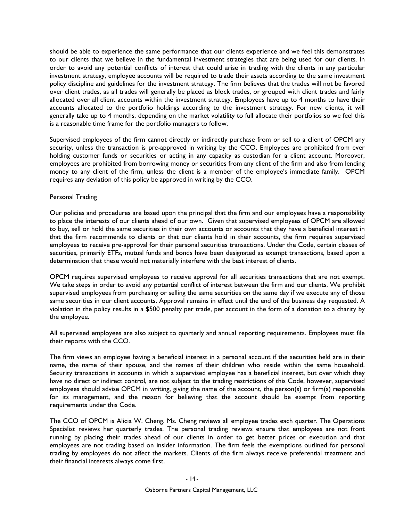should be able to experience the same performance that our clients experience and we feel this demonstrates to our clients that we believe in the fundamental investment strategies that are being used for our clients. In order to avoid any potential conflicts of interest that could arise in trading with the clients in any particular investment strategy, employee accounts will be required to trade their assets according to the same investment policy discipline and guidelines for the investment strategy. The firm believes that the trades will not be favored over client trades, as all trades will generally be placed as block trades, or grouped with client trades and fairly allocated over all client accounts within the investment strategy. Employees have up to 4 months to have their accounts allocated to the portfolio holdings according to the investment strategy. For new clients, it will generally take up to 4 months, depending on the market volatility to full allocate their portfolios so we feel this is a reasonable time frame for the portfolio managers to follow.

Supervised employees of the firm cannot directly or indirectly purchase from or sell to a client of OPCM any security, unless the transaction is pre-approved in writing by the CCO. Employees are prohibited from ever holding customer funds or securities or acting in any capacity as custodian for a client account. Moreover, employees are prohibited from borrowing money or securities from any client of the firm and also from lending money to any client of the firm, unless the client is a member of the employee's immediate family. OPCM requires any deviation of this policy be approved in writing by the CCO.

#### Personal Trading

Our policies and procedures are based upon the principal that the firm and our employees have a responsibility to place the interests of our clients ahead of our own. Given that supervised employees of OPCM are allowed to buy, sell or hold the same securities in their own accounts or accounts that they have a beneficial interest in that the firm recommends to clients or that our clients hold in their accounts, the firm requires supervised employees to receive pre-approval for their personal securities transactions. Under the Code, certain classes of securities, primarily ETFs, mutual funds and bonds have been designated as exempt transactions, based upon a determination that these would not materially interfere with the best interest of clients.

OPCM requires supervised employees to receive approval for all securities transactions that are not exempt. We take steps in order to avoid any potential conflict of interest between the firm and our clients. We prohibit supervised employees from purchasing or selling the same securities on the same day if we execute any of those same securities in our client accounts. Approval remains in effect until the end of the business day requested. A violation in the policy results in a \$500 penalty per trade, per account in the form of a donation to a charity by the employee.

All supervised employees are also subject to quarterly and annual reporting requirements. Employees must file their reports with the CCO.

The firm views an employee having a beneficial interest in a personal account if the securities held are in their name, the name of their spouse, and the names of their children who reside within the same household. Security transactions in accounts in which a supervised employee has a beneficial interest, but over which they have no direct or indirect control, are not subject to the trading restrictions of this Code, however, supervised employees should advise OPCM in writing, giving the name of the account, the person(s) or firm(s) responsible for its management, and the reason for believing that the account should be exempt from reporting requirements under this Code.

The CCO of OPCM is Alicia W. Cheng. Ms. Cheng reviews all employee trades each quarter. The Operations Specialist reviews her quarterly trades. The personal trading reviews ensure that employees are not front running by placing their trades ahead of our clients in order to get better prices or execution and that employees are not trading based on insider information. The firm feels the exemptions outlined for personal trading by employees do not affect the markets. Clients of the firm always receive preferential treatment and their financial interests always come first.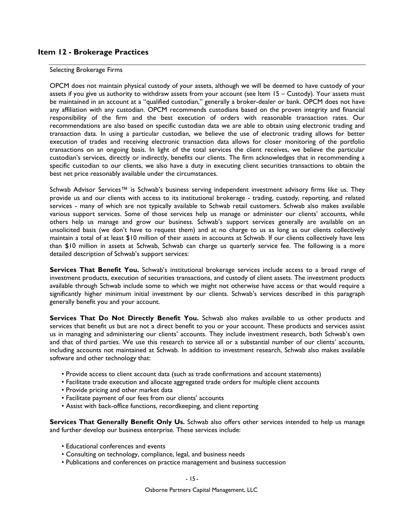## **Item 12 - Brokerage Practices**

#### Selecting Brokerage Firms

OPCM does not maintain physical custody of your assets, although we will be deemed to have custody of your assets if you give us authority to withdraw assets from your account (see Item 15 – Custody). Your assets must be maintained in an account at a "qualified custodian," generally a broker-dealer or bank. OPCM does not have any affiliation with any custodian. OPCM recommends custodians based on the proven integrity and financial responsibility of the firm and the best execution of orders with reasonable transaction rates. Our recommendations are also based on specific custodian data we are able to obtain using electronic trading and transaction data. In using a particular custodian, we believe the use of electronic trading allows for better execution of trades and receiving electronic transaction data allows for closer monitoring of the portfolio transactions on an ongoing basis. In light of the total services the client receives, we believe the particular custodian's services, directly or indirectly, benefits our clients. The firm acknowledges that in recommending a specific custodian to our clients, we also have a duty in executing client securities transactions to obtain the best net price reasonably available under the circumstances.

Schwab Advisor Services™ is Schwab's business serving independent investment advisory firms like us. They provide us and our clients with access to its institutional brokerage - trading, custody, reporting, and related services - many of which are not typically available to Schwab retail customers. Schwab also makes available various support services. Some of those services help us manage or administer our clients' accounts, while others help us manage and grow our business. Schwab's support services generally are available on an unsolicited basis (we don't have to request them) and at no charge to us as long as our clients collectively maintain a total of at least \$10 million of their assets in accounts at Schwab. If our clients collectively have less than \$10 million in assets at Schwab, Schwab can charge us quarterly service fee. The following is a more detailed description of Schwab's support services:

**Services That Benefit You.** Schwab's institutional brokerage services include access to a broad range of investment products, execution of securities transactions, and custody of client assets. The investment products available through Schwab include some to which we might not otherwise have access or that would require a significantly higher minimum initial investment by our clients. Schwab's services described in this paragraph generally benefit you and your account.

**Services That Do Not Directly Benefit You.** Schwab also makes available to us other products and services that benefit us but are not a direct benefit to you or your account. These products and services assist us in managing and administering our clients' accounts. They include investment research, both Schwab's own and that of third parties. We use this research to service all or a substantial number of our clients' accounts, including accounts not maintained at Schwab. In addition to investment research, Schwab also makes available software and other technology that:

- Provide access to client account data (such as trade confirmations and account statements)
- Facilitate trade execution and allocate aggregated trade orders for multiple client accounts
- Provide pricing and other market data
- Facilitate payment of our fees from our clients' accounts
- Assist with back-office functions, recordkeeping, and client reporting

**Services That Generally Benefit Only Us.** Schwab also offers other services intended to help us manage and further develop our business enterprise. These services include:

- Educational conferences and events
- Consulting on technology, compliance, legal, and business needs
- Publications and conferences on practice management and business succession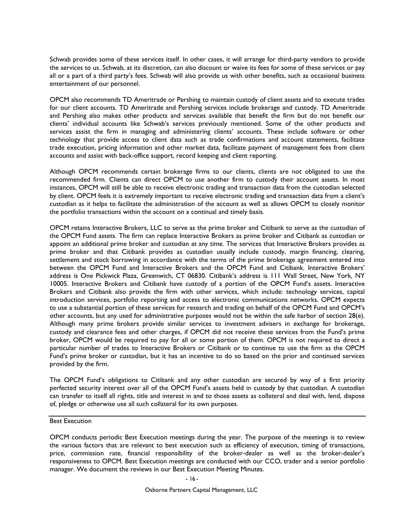Schwab provides some of these services itself. In other cases, it will arrange for third-party vendors to provide the services to us. Schwab, at its discretion, can also discount or waive its fees for some of these services or pay all or a part of a third party's fees. Schwab will also provide us with other benefits, such as occasional business entertainment of our personnel.

OPCM also recommends TD Ameritrade or Pershing to maintain custody of client assets and to execute trades for our client accounts. TD Ameritrade and Pershing services include brokerage and custody. TD Ameritrade and Pershing also makes other products and services available that benefit the firm but do not benefit our clients' individual accounts like Schwab's services previously mentioned. Some of the other products and services assist the firm in managing and administering clients' accounts. These include software or other technology that provide access to client data such as trade confirmations and account statements, facilitate trade execution, pricing information and other market data, facilitate payment of management fees from client accounts and assist with back-office support, record keeping and client reporting.

Although OPCM recommends certain brokerage firms to our clients, clients are not obligated to use the recommended firm. Clients can direct OPCM to use another firm to custody their account assets. In most instances, OPCM will still be able to receive electronic trading and transaction data from the custodian selected by client. OPCM feels it is extremely important to receive electronic trading and transaction data from a client's custodian as it helps to facilitate the administration of the account as well as allows OPCM to closely monitor the portfolio transactions within the account on a continual and timely basis.

OPCM retains Interactive Brokers, LLC to serve as the prime broker and Citibank to serve as the custodian of the OPCM Fund assets. The firm can replace Interactive Brokers as prime broker and Citibank as custodian or appoint an additional prime broker and custodian at any time. The services that Interactive Brokers provides as prime broker and that Citibank provides as custodian usually include custody, margin financing, clearing, settlement and stock borrowing in accordance with the terms of the prime brokerage agreement entered into between the OPCM Fund and Interactive Brokers and the OPCM Fund and Citibank. Interactive Brokers' address is One Pickwick Plaza, Greenwich, CT 06830. Citibank's address is 111 Wall Street, New York, NY 10005. Interactive Brokers and Citibank have custody of a portion of the OPCM Fund's assets. Interactive Brokers and Citibank also provide the firm with other services, which include: technology services, capital introduction services, portfolio reporting and access to electronic communications networks. OPCM expects to use a substantial portion of these services for research and trading on behalf of the OPCM Fund and OPCM's other accounts, but any used for administrative purposes would not be within the safe harbor of section 28(e). Although many prime brokers provide similar services to investment advisers in exchange for brokerage, custody and clearance fees and other charges, if OPCM did not receive these services from the Fund's prime broker, OPCM would be required to pay for all or some portion of them. OPCM is not required to direct a particular number of trades to Interactive Brokers or Citibank or to continue to use the firm as the OPCM Fund's prime broker or custodian, but it has an incentive to do so based on the prior and continued services provided by the firm.

The OPCM Fund's obligations to Citibank and any other custodian are secured by way of a first priority perfected security interest over all of the OPCM Fund's assets held in custody by that custodian. A custodian can transfer to itself all rights, title and interest in and to those assets as collateral and deal with, lend, dispose of, pledge or otherwise use all such collateral for its own purposes.

Best Execution

OPCM conducts periodic Best Execution meetings during the year. The purpose of the meetings is to review the various factors that are relevant to best execution such as efficiency of execution, timing of transactions, price, commission rate, financial responsibility of the broker-dealer as well as the broker-dealer's responsiveness to OPCM. Best Execution meetings are conducted with our CCO, trader and a senior portfolio manager. We document the reviews in our Best Execution Meeting Minutes.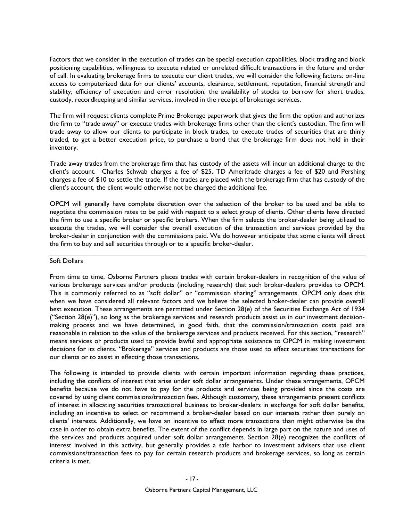Factors that we consider in the execution of trades can be special execution capabilities, block trading and block positioning capabilities, willingness to execute related or unrelated difficult transactions in the future and order of call. In evaluating brokerage firms to execute our client trades, we will consider the following factors: on-line access to computerized data for our clients' accounts, clearance, settlement, reputation, financial strength and stability, efficiency of execution and error resolution, the availability of stocks to borrow for short trades, custody, recordkeeping and similar services, involved in the receipt of brokerage services.

The firm will request clients complete Prime Brokerage paperwork that gives the firm the option and authorizes the firm to "trade away" or execute trades with brokerage firms other than the client's custodian. The firm will trade away to allow our clients to participate in block trades, to execute trades of securities that are thinly traded, to get a better execution price, to purchase a bond that the brokerage firm does not hold in their inventory.

Trade away trades from the brokerage firm that has custody of the assets will incur an additional charge to the client's account. Charles Schwab charges a fee of \$25, TD Ameritrade charges a fee of \$20 and Pershing charges a fee of \$10 to settle the trade. If the trades are placed with the brokerage firm that has custody of the client's account, the client would otherwise not be charged the additional fee.

OPCM will generally have complete discretion over the selection of the broker to be used and be able to negotiate the commission rates to be paid with respect to a select group of clients. Other clients have directed the firm to use a specific broker or specific brokers. When the firm selects the broker-dealer being utilized to execute the trades, we will consider the overall execution of the transaction and services provided by the broker-dealer in conjunction with the commissions paid. We do however anticipate that some clients will direct the firm to buy and sell securities through or to a specific broker-dealer.

### Soft Dollars

From time to time, Osborne Partners places trades with certain broker-dealers in recognition of the value of various brokerage services and/or products (including research) that such broker-dealers provides to OPCM. This is commonly referred to as "soft dollar" or "commission sharing" arrangements. OPCM only does this when we have considered all relevant factors and we believe the selected broker-dealer can provide overall best execution. These arrangements are permitted under Section 28(e) of the Securities Exchange Act of 1934 ("Section  $28(e)$ "), so long as the brokerage services and research products assist us in our investment decisionmaking process and we have determined, in good faith, that the commission/transaction costs paid are reasonable in relation to the value of the brokerage services and products received. For this section, "research" means services or products used to provide lawful and appropriate assistance to OPCM in making investment decisions for its clients. "Brokerage" services and products are those used to effect securities transactions for our clients or to assist in effecting those transactions.

The following is intended to provide clients with certain important information regarding these practices, including the conflicts of interest that arise under soft dollar arrangements. Under these arrangements, OPCM benefits because we do not have to pay for the products and services being provided since the costs are covered by using client commissions/transaction fees. Although customary, these arrangements present conflicts of interest in allocating securities transactional business to broker-dealers in exchange for soft dollar benefits, including an incentive to select or recommend a broker-dealer based on our interests rather than purely on clients' interests. Additionally, we have an incentive to effect more transactions than might otherwise be the case in order to obtain extra benefits. The extent of the conflict depends in large part on the nature and uses of the services and products acquired under soft dollar arrangements. Section 28(e) recognizes the conflicts of interest involved in this activity, but generally provides a safe harbor to investment advisers that use client commissions/transaction fees to pay for certain research products and brokerage services, so long as certain criteria is met.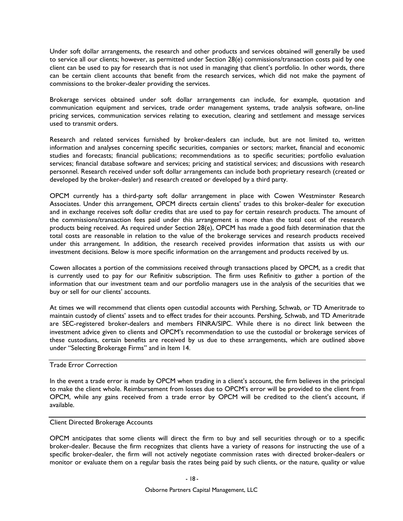Under soft dollar arrangements, the research and other products and services obtained will generally be used to service all our clients; however, as permitted under Section 28(e) commissions/transaction costs paid by one client can be used to pay for research that is not used in managing that client's portfolio. In other words, there can be certain client accounts that benefit from the research services, which did not make the payment of commissions to the broker-dealer providing the services.

Brokerage services obtained under soft dollar arrangements can include, for example, quotation and communication equipment and services, trade order management systems, trade analysis software, on-line pricing services, communication services relating to execution, clearing and settlement and message services used to transmit orders.

Research and related services furnished by broker-dealers can include, but are not limited to, written information and analyses concerning specific securities, companies or sectors; market, financial and economic studies and forecasts; financial publications; recommendations as to specific securities; portfolio evaluation services; financial database software and services; pricing and statistical services; and discussions with research personnel. Research received under soft dollar arrangements can include both proprietary research (created or developed by the broker-dealer) and research created or developed by a third party.

OPCM currently has a third-party soft dollar arrangement in place with Cowen Westminster Research Associates. Under this arrangement, OPCM directs certain clients' trades to this broker-dealer for execution and in exchange receives soft dollar credits that are used to pay for certain research products. The amount of the commissions/transaction fees paid under this arrangement is more than the total cost of the research products being received. As required under Section 28(e), OPCM has made a good faith determination that the total costs are reasonable in relation to the value of the brokerage services and research products received under this arrangement. In addition, the research received provides information that assists us with our investment decisions. Below is more specific information on the arrangement and products received by us.

Cowen allocates a portion of the commissions received through transactions placed by OPCM, as a credit that is currently used to pay for our Refinitiv subscription. The firm uses Refinitiv to gather a portion of the information that our investment team and our portfolio managers use in the analysis of the securities that we buy or sell for our clients' accounts.

At times we will recommend that clients open custodial accounts with Pershing, Schwab, or TD Ameritrade to maintain custody of clients' assets and to effect trades for their accounts. Pershing, Schwab, and TD Ameritrade are SEC-registered broker-dealers and members FINRA/SIPC. While there is no direct link between the investment advice given to clients and OPCM's recommendation to use the custodial or brokerage services of these custodians, certain benefits are received by us due to these arrangements, which are outlined above under "Selecting Brokerage Firms" and in Item 14.

### Trade Error Correction

In the event a trade error is made by OPCM when trading in a client's account, the firm believes in the principal to make the client whole. Reimbursement from losses due to OPCM's error will be provided to the client from OPCM, while any gains received from a trade error by OPCM will be credited to the client's account, if available.

#### Client Directed Brokerage Accounts

OPCM anticipates that some clients will direct the firm to buy and sell securities through or to a specific broker-dealer. Because the firm recognizes that clients have a variety of reasons for instructing the use of a specific broker-dealer, the firm will not actively negotiate commission rates with directed broker-dealers or monitor or evaluate them on a regular basis the rates being paid by such clients, or the nature, quality or value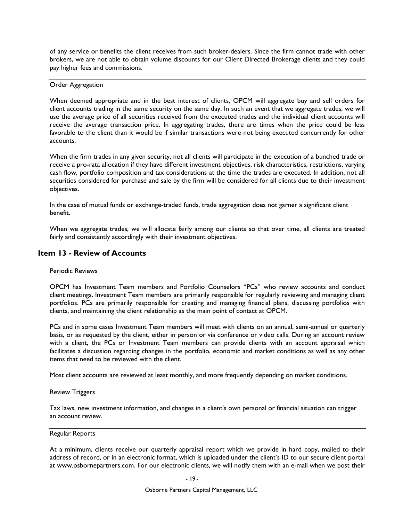of any service or benefits the client receives from such broker-dealers. Since the firm cannot trade with other brokers, we are not able to obtain volume discounts for our Client Directed Brokerage clients and they could pay higher fees and commissions.

#### Order Aggregation

When deemed appropriate and in the best interest of clients, OPCM will aggregate buy and sell orders for client accounts trading in the same security on the same day. In such an event that we aggregate trades, we will use the average price of all securities received from the executed trades and the individual client accounts will receive the average transaction price. In aggregating trades, there are times when the price could be less favorable to the client than it would be if similar transactions were not being executed concurrently for other accounts.

When the firm trades in any given security, not all clients will participate in the execution of a bunched trade or receive a pro-rata allocation if they have different investment objectives, risk characteristics, restrictions, varying cash flow, portfolio composition and tax considerations at the time the trades are executed. In addition, not all securities considered for purchase and sale by the firm will be considered for all clients due to their investment objectives.

In the case of mutual funds or exchange-traded funds, trade aggregation does not garner a significant client benefit.

When we aggregate trades, we will allocate fairly among our clients so that over time, all clients are treated fairly and consistently accordingly with their investment objectives.

## **Item 13 - Review of Accounts**

### Periodic Reviews

OPCM has Investment Team members and Portfolio Counselors "PCs" who review accounts and conduct client meetings. Investment Team members are primarily responsible for regularly reviewing and managing client portfolios. PCs are primarily responsible for creating and managing financial plans, discussing portfolios with clients, and maintaining the client relationship as the main point of contact at OPCM.

PCs and in some cases Investment Team members will meet with clients on an annual, semi-annual or quarterly basis, or as requested by the client, either in person or via conference or video calls. During an account review with a client, the PCs or Investment Team members can provide clients with an account appraisal which facilitates a discussion regarding changes in the portfolio, economic and market conditions as well as any other items that need to be reviewed with the client.

Most client accounts are reviewed at least monthly, and more frequently depending on market conditions.

#### Review Triggers

Tax laws, new investment information, and changes in a client's own personal or financial situation can trigger an account review.

#### Regular Reports

At a minimum, clients receive our quarterly appraisal report which we provide in hard copy, mailed to their address of record, or in an electronic format, which is uploaded under the client's ID to our secure client portal at www.osbornepartners.com. For our electronic clients, we will notify them with an e-mail when we post their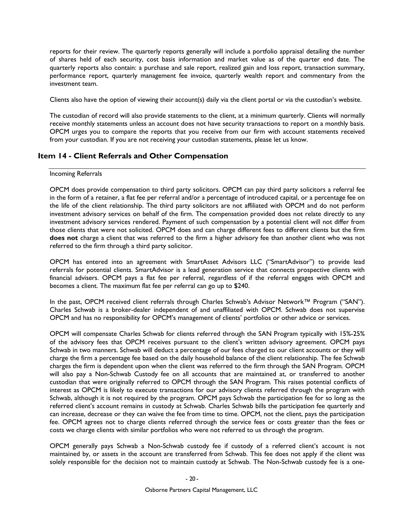reports for their review. The quarterly reports generally will include a portfolio appraisal detailing the number of shares held of each security, cost basis information and market value as of the quarter end date. The quarterly reports also contain: a purchase and sale report, realized gain and loss report, transaction summary, performance report, quarterly management fee invoice, quarterly wealth report and commentary from the investment team.

Clients also have the option of viewing their account(s) daily via the client portal or via the custodian's website.

The custodian of record will also provide statements to the client, at a minimum quarterly. Clients will normally receive monthly statements unless an account does not have security transactions to report on a monthly basis. OPCM urges you to compare the reports that you receive from our firm with account statements received from your custodian. If you are not receiving your custodian statements, please let us know.

### **Item 14 - Client Referrals and Other Compensation**

#### Incoming Referrals

OPCM does provide compensation to third party solicitors. OPCM can pay third party solicitors a referral fee in the form of a retainer, a flat fee per referral and/or a percentage of introduced capital, or a percentage fee on the life of the client relationship. The third party solicitors are not affiliated with OPCM and do not perform investment advisory services on behalf of the firm. The compensation provided does not relate directly to any investment advisory services rendered. Payment of such compensation by a potential client will not differ from those clients that were not solicited. OPCM does and can charge different fees to different clients but the firm **does not** charge a client that was referred to the firm a higher advisory fee than another client who was not referred to the firm through a third party solicitor.

OPCM has entered into an agreement with SmartAsset Advisors LLC ("SmartAdvisor") to provide lead referrals for potential clients. SmartAdvisor is a lead generation service that connects prospective clients with financial advisers. OPCM pays a flat fee per referral, regardless of if the referral engages with OPCM and becomes a client. The maximum flat fee per referral can go up to \$240.

In the past, OPCM received client referrals through Charles Schwab's Advisor Network™ Program ("SAN"). Charles Schwab is a broker-dealer independent of and unaffiliated with OPCM. Schwab does not supervise OPCM and has no responsibility for OPCM's management of clients' portfolios or other advice or services.

OPCM will compensate Charles Schwab for clients referred through the SAN Program typically with 15%-25% of the advisory fees that OPCM receives pursuant to the client's written advisory agreement. OPCM pays Schwab in two manners. Schwab will deduct a percentage of our fees charged to our client accounts or they will charge the firm a percentage fee based on the daily household balance of the client relationship. The fee Schwab charges the firm is dependent upon when the client was referred to the firm through the SAN Program. OPCM will also pay a Non-Schwab Custody fee on all accounts that are maintained at, or transferred to another custodian that were originally referred to OPCM through the SAN Program. This raises potential conflicts of interest as OPCM is likely to execute transactions for our advisory clients referred through the program with Schwab, although it is not required by the program. OPCM pays Schwab the participation fee for so long as the referred client's account remains in custody at Schwab. Charles Schwab bills the participation fee quarterly and can increase, decrease or they can waive the fee from time to time. OPCM, not the client, pays the participation fee. OPCM agrees not to charge clients referred through the service fees or costs greater than the fees or costs we charge clients with similar portfolios who were not referred to us through the program.

OPCM generally pays Schwab a Non-Schwab custody fee if custody of a referred client's account is not maintained by, or assets in the account are transferred from Schwab. This fee does not apply if the client was solely responsible for the decision not to maintain custody at Schwab. The Non-Schwab custody fee is a one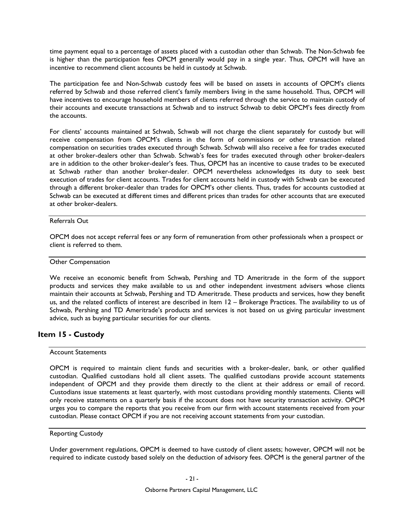time payment equal to a percentage of assets placed with a custodian other than Schwab. The Non-Schwab fee is higher than the participation fees OPCM generally would pay in a single year. Thus, OPCM will have an incentive to recommend client accounts be held in custody at Schwab.

The participation fee and Non-Schwab custody fees will be based on assets in accounts of OPCM's clients referred by Schwab and those referred client's family members living in the same household. Thus, OPCM will have incentives to encourage household members of clients referred through the service to maintain custody of their accounts and execute transactions at Schwab and to instruct Schwab to debit OPCM's fees directly from the accounts.

For clients' accounts maintained at Schwab, Schwab will not charge the client separately for custody but will receive compensation from OPCM's clients in the form of commissions or other transaction related compensation on securities trades executed through Schwab. Schwab will also receive a fee for trades executed at other broker-dealers other than Schwab. Schwab's fees for trades executed through other broker-dealers are in addition to the other broker-dealer's fees. Thus, OPCM has an incentive to cause trades to be executed at Schwab rather than another broker-dealer. OPCM nevertheless acknowledges its duty to seek best execution of trades for client accounts. Trades for client accounts held in custody with Schwab can be executed through a different broker-dealer than trades for OPCM's other clients. Thus, trades for accounts custodied at Schwab can be executed at different times and different prices than trades for other accounts that are executed at other broker-dealers.

### Referrals Out

OPCM does not accept referral fees or any form of remuneration from other professionals when a prospect or client is referred to them.

#### Other Compensation

We receive an economic benefit from Schwab, Pershing and TD Ameritrade in the form of the support products and services they make available to us and other independent investment advisers whose clients maintain their accounts at Schwab, Pershing and TD Ameritrade. These products and services, how they benefit us, and the related conflicts of interest are described in Item 12 – Brokerage Practices. The availability to us of Schwab, Pershing and TD Ameritrade's products and services is not based on us giving particular investment advice, such as buying particular securities for our clients.

## **Item 15 - Custody**

#### Account Statements

OPCM is required to maintain client funds and securities with a broker-dealer, bank, or other qualified custodian. Qualified custodians hold all client assets. The qualified custodians provide account statements independent of OPCM and they provide them directly to the client at their address or email of record. Custodians issue statements at least quarterly, with most custodians providing monthly statements. Clients will only receive statements on a quarterly basis if the account does not have security transaction activity. OPCM urges you to compare the reports that you receive from our firm with account statements received from your custodian. Please contact OPCM if you are not receiving account statements from your custodian.

#### Reporting Custody

Under government regulations, OPCM is deemed to have custody of client assets; however, OPCM will not be required to indicate custody based solely on the deduction of advisory fees. OPCM is the general partner of the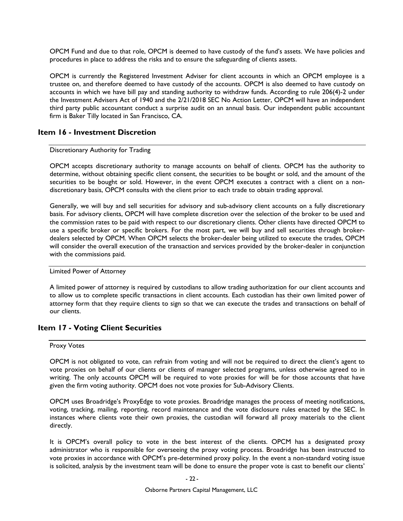OPCM Fund and due to that role, OPCM is deemed to have custody of the fund's assets. We have policies and procedures in place to address the risks and to ensure the safeguarding of clients assets.

OPCM is currently the Registered Investment Adviser for client accounts in which an OPCM employee is a trustee on, and therefore deemed to have custody of the accounts. OPCM is also deemed to have custody on accounts in which we have bill pay and standing authority to withdraw funds. According to rule 206(4)-2 under the Investment Advisers Act of 1940 and the 2/21/2018 SEC No Action Letter, OPCM will have an independent third party public accountant conduct a surprise audit on an annual basis. Our independent public accountant firm is Baker Tilly located in San Francisco, CA.

### **Item 16 - Investment Discretion**

#### Discretionary Authority for Trading

OPCM accepts discretionary authority to manage accounts on behalf of clients. OPCM has the authority to determine, without obtaining specific client consent, the securities to be bought or sold, and the amount of the securities to be bought or sold. However, in the event OPCM executes a contract with a client on a nondiscretionary basis, OPCM consults with the client prior to each trade to obtain trading approval.

Generally, we will buy and sell securities for advisory and sub-advisory client accounts on a fully discretionary basis. For advisory clients, OPCM will have complete discretion over the selection of the broker to be used and the commission rates to be paid with respect to our discretionary clients. Other clients have directed OPCM to use a specific broker or specific brokers. For the most part, we will buy and sell securities through brokerdealers selected by OPCM. When OPCM selects the broker-dealer being utilized to execute the trades, OPCM will consider the overall execution of the transaction and services provided by the broker-dealer in conjunction with the commissions paid.

### Limited Power of Attorney

A limited power of attorney is required by custodians to allow trading authorization for our client accounts and to allow us to complete specific transactions in client accounts. Each custodian has their own limited power of attorney form that they require clients to sign so that we can execute the trades and transactions on behalf of our clients.

### **Item 17 - Voting Client Securities**

#### Proxy Votes

OPCM is not obligated to vote, can refrain from voting and will not be required to direct the client's agent to vote proxies on behalf of our clients or clients of manager selected programs, unless otherwise agreed to in writing. The only accounts OPCM will be required to vote proxies for will be for those accounts that have given the firm voting authority. OPCM does not vote proxies for Sub-Advisory Clients.

OPCM uses Broadridge's ProxyEdge to vote proxies. Broadridge manages the process of meeting notifications, voting, tracking, mailing, reporting, record maintenance and the vote disclosure rules enacted by the SEC. In instances where clients vote their own proxies, the custodian will forward all proxy materials to the client directly.

It is OPCM's overall policy to vote in the best interest of the clients. OPCM has a designated proxy administrator who is responsible for overseeing the proxy voting process. Broadridge has been instructed to vote proxies in accordance with OPCM's pre-determined proxy policy. In the event a non-standard voting issue is solicited, analysis by the investment team will be done to ensure the proper vote is cast to benefit our clients'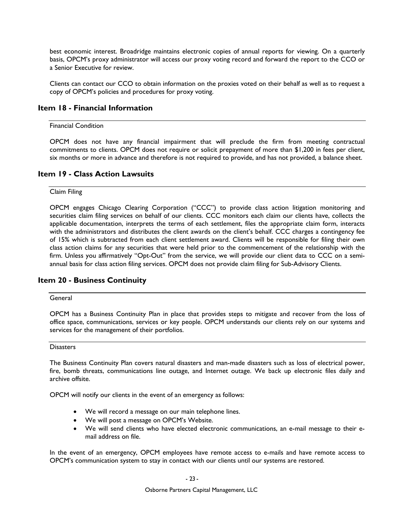best economic interest. Broadridge maintains electronic copies of annual reports for viewing. On a quarterly basis, OPCM's proxy administrator will access our proxy voting record and forward the report to the CCO or a Senior Executive for review.

Clients can contact our CCO to obtain information on the proxies voted on their behalf as well as to request a copy of OPCM's policies and procedures for proxy voting.

### **Item 18 - Financial Information**

#### Financial Condition

OPCM does not have any financial impairment that will preclude the firm from meeting contractual commitments to clients. OPCM does not require or solicit prepayment of more than \$1,200 in fees per client, six months or more in advance and therefore is not required to provide, and has not provided, a balance sheet.

# **Item 19 - Class Action Lawsuits**

### Claim Filing

OPCM engages Chicago Clearing Corporation ("CCC") to provide class action litigation monitoring and securities claim filing services on behalf of our clients. CCC monitors each claim our clients have, collects the applicable documentation, interprets the terms of each settlement, files the appropriate claim form, interacts with the administrators and distributes the client awards on the client's behalf. CCC charges a contingency fee of 15% which is subtracted from each client settlement award. Clients will be responsible for filing their own class action claims for any securities that were held prior to the commencement of the relationship with the firm. Unless you affirmatively "Opt-Out" from the service, we will provide our client data to CCC on a semiannual basis for class action filing services. OPCM does not provide claim filing for Sub-Advisory Clients.

### **Item 20 - Business Continuity**

#### General

OPCM has a Business Continuity Plan in place that provides steps to mitigate and recover from the loss of office space, communications, services or key people. OPCM understands our clients rely on our systems and services for the management of their portfolios.

#### **Disasters**

The Business Continuity Plan covers natural disasters and man-made disasters such as loss of electrical power, fire, bomb threats, communications line outage, and Internet outage. We back up electronic files daily and archive offsite.

OPCM will notify our clients in the event of an emergency as follows:

- We will record a message on our main telephone lines.
- We will post a message on OPCM's Website.
- We will send clients who have elected electronic communications, an e-mail message to their email address on file.

In the event of an emergency, OPCM employees have remote access to e-mails and have remote access to OPCM's communication system to stay in contact with our clients until our systems are restored.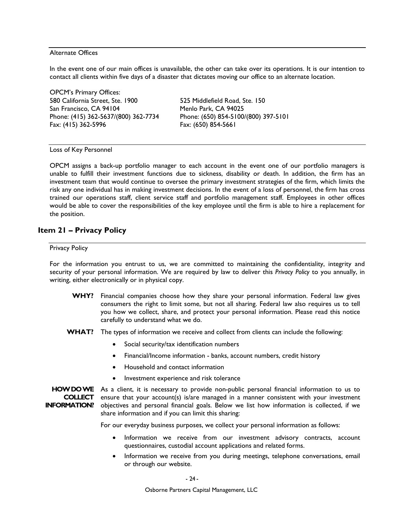#### Alternate Offices

In the event one of our main offices is unavailable, the other can take over its operations. It is our intention to contact all clients within five days of a disaster that dictates moving our office to an alternate location.

OPCM's Primary Offices: 580 California Street, Ste. 1900 525 Middlefield Road, Ste. 150 San Francisco, CA 94104 Menlo Park, CA 94025 Phone: (415) 362-5637/(800) 362-7734 Phone: (650) 854-5100/(800) 397-5101 Fax: (415) 362-5996 Fax: (650) 854-5661

Loss of Key Personnel

OPCM assigns a back-up portfolio manager to each account in the event one of our portfolio managers is unable to fulfill their investment functions due to sickness, disability or death. In addition, the firm has an investment team that would continue to oversee the primary investment strategies of the firm, which limits the risk any one individual has in making investment decisions. In the event of a loss of personnel, the firm has cross trained our operations staff, client service staff and portfolio management staff. Employees in other offices would be able to cover the responsibilities of the key employee until the firm is able to hire a replacement for the position.

## **Item 21 – Privacy Policy**

#### Privacy Policy

For the information you entrust to us, we are committed to maintaining the confidentiality, integrity and security of your personal information. We are required by law to deliver this *Privacy Policy* to you annually, in writing, either electronically or in physical copy.

- **WHY?** Financial companies choose how they share your personal information. Federal law gives consumers the right to limit some, but not all sharing. Federal law also requires us to tell you how we collect, share, and protect your personal information. Please read this notice carefully to understand what we do.
- **WHAT?** The types of information we receive and collect from clients can include the following:
	- Social security/tax identification numbers
	- Financial/Income information banks, account numbers, credit history
	- Household and contact information
	- Investment experience and risk tolerance

HOW DO WE As a client, it is necessary to provide non-public personal financial information to us to **COLLECT**  ensure that your account(s) is/are managed in a manner consistent with your investment **INFORMATION?** objectives and personal financial goals. Below we list how information is collected, if we share information and if you can limit this sharing:

For our everyday business purposes, we collect your personal information as follows:

- Information we receive from our investment advisory contracts, account questionnaires, custodial account applications and related forms.
- Information we receive from you during meetings, telephone conversations, email or through our website.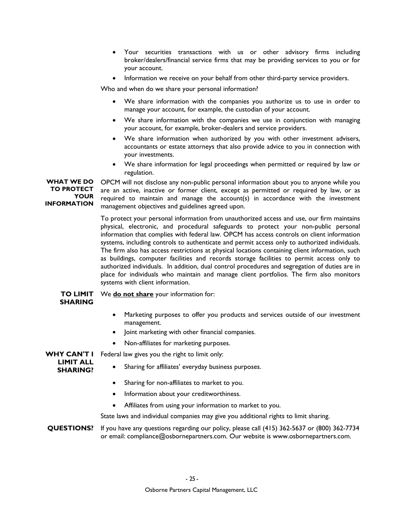- Your securities transactions with us or other advisory firms including broker/dealers/financial service firms that may be providing services to you or for your account.
- Information we receive on your behalf from other third-party service providers.

Who and when do we share your personal information?

- We share information with the companies you authorize us to use in order to manage your account, for example, the custodian of your account.
- We share information with the companies we use in conjunction with managing your account, for example, broker-dealers and service providers.
- We share information when authorized by you with other investment advisers, accountants or estate attorneys that also provide advice to you in connection with your investments.
- We share information for legal proceedings when permitted or required by law or regulation.

**WHAT WE DO TO PROTECT YOUR INFORMATION**  OPCM will not disclose any non-public personal information about you to anyone while you are an active, inactive or former client, except as permitted or required by law, or as required to maintain and manage the account(s) in accordance with the investment management objectives and guidelines agreed upon.

> To protect your personal information from unauthorized access and use, our firm maintains physical, electronic, and procedural safeguards to protect your non-public personal information that complies with federal law. OPCM has access controls on client information systems, including controls to authenticate and permit access only to authorized individuals. The firm also has access restrictions at physical locations containing client information, such as buildings, computer facilities and records storage facilities to permit access only to authorized individuals. In addition, dual control procedures and segregation of duties are in place for individuals who maintain and manage client portfolios. The firm also monitors systems with client information.

**TO LIMIT**  We **do not share** your information for:

## **SHARING**

- Marketing purposes to offer you products and services outside of our investment management.
- Joint marketing with other financial companies.
- Non-affiliates for marketing purposes.

**WHY CAN'T I**  Federal law gives you the right to limit only:

- **LIMIT ALL SHARING?**
- Sharing for affiliates' everyday business purposes.
- Sharing for non-affiliates to market to you.
- Information about your creditworthiness.
- Affiliates from using your information to market to you.

State laws and individual companies may give you additional rights to limit sharing.

**QUESTIONS?** If you have any questions regarding our policy, please call (415) 362-5637 or (800) 362-7734 or email: compliance@osbornepartners.com. Our website is www.osbornepartners.com.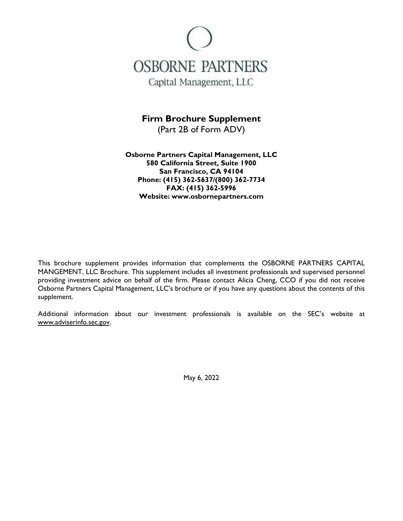

**Firm Brochure Supplement**  (Part 2B of Form ADV)

**Osborne Partners Capital Management, LLC 580 California Street, Suite 1900 San Francisco, CA 94104 Phone: (415) 362-5637/(800) 362-7734 FAX: (415) 362-5996 Website: www.osbornepartners.com** 

This brochure supplement provides information that complements the OSBORNE PARTNERS CAPITAL MANGEMENT, LLC Brochure. This supplement includes all investment professionals and supervised personnel providing investment advice on behalf of the firm. Please contact Alicia Cheng, CCO if you did not receive Osborne Partners Capital Management, LLC's brochure or if you have any questions about the contents of this supplement.

Additional information about our investment professionals is available on the SEC's website at www.adviserinfo.sec.gov.

May 6, 2022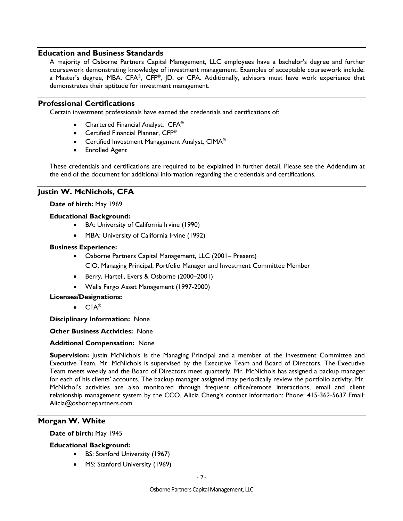### **Education and Business Standards**

A majority of Osborne Partners Capital Management, LLC employees have a bachelor's degree and further coursework demonstrating knowledge of investment management. Examples of acceptable coursework include: a Master's degree, MBA, CFA®, CFP®, JD, or CPA. Additionally, advisors must have work experience that demonstrates their aptitude for investment management.

### **Professional Certifications**

Certain investment professionals have earned the credentials and certifications of:

- Chartered Financial Analyst, CFA<sup>®</sup>
- Certified Financial Planner, CFP<sup>®</sup>
- Certified Investment Management Analyst, CIMA<sup>®</sup>
- Enrolled Agent

These credentials and certifications are required to be explained in further detail. Please see the Addendum at the end of the document for additional information regarding the credentials and certifications.

## **Justin W. McNichols, CFA**

### **Date of birth:** May 1969

- **Educational Background:** 
	- BA: University of California Irvine (1990)
	- MBA: University of California Irvine (1992)

### **Business Experience:**

- Osborne Partners Capital Management, LLC (2001– Present) CIO, Managing Principal, Portfolio Manager and Investment Committee Member
- Berry, Hartell, Evers & Osborne (2000–2001)
- Wells Fargo Asset Management (1997-2000)

#### **Licenses/Designations:**

 $\bullet$  CFA<sup>®</sup>

**Disciplinary Information:** None

**Other Business Activities:** None

#### **Additional Compensation:** None

**Supervision:** Justin McNichols is the Managing Principal and a member of the Investment Committee and Executive Team. Mr. McNichols is supervised by the Executive Team and Board of Directors. The Executive Team meets weekly and the Board of Directors meet quarterly. Mr. McNichols has assigned a backup manager for each of his clients' accounts. The backup manager assigned may periodically review the portfolio activity. Mr. McNichol's activities are also monitored through frequent office/remote interactions, email and client relationship management system by the CCO. Alicia Cheng's contact information: Phone: 415-362-5637 Email: Alicia@osbornepartners.com

## **Morgan W. White**

#### **Date of birth:** May 1945

#### **Educational Background:**

- BS: Stanford University (1967)
- MS: Stanford University (1969)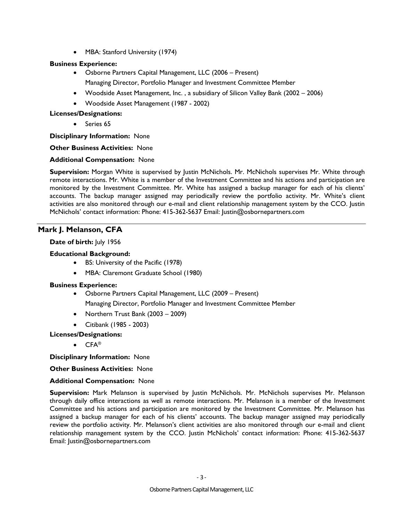• MBA: Stanford University (1974)

## **Business Experience:**

- Osborne Partners Capital Management, LLC (2006 Present) Managing Director, Portfolio Manager and Investment Committee Member
- Woodside Asset Management, Inc. , a subsidiary of Silicon Valley Bank (2002 2006)
- Woodside Asset Management (1987 2002)

## **Licenses/Designations:**

Series 65

**Disciplinary Information:** None

### **Other Business Activities:** None

### **Additional Compensation:** None

**Supervision:** Morgan White is supervised by Justin McNichols. Mr. McNichols supervises Mr. White through remote interactions. Mr. White is a member of the Investment Committee and his actions and participation are monitored by the Investment Committee. Mr. White has assigned a backup manager for each of his clients' accounts. The backup manager assigned may periodically review the portfolio activity. Mr. White's client activities are also monitored through our e-mail and client relationship management system by the CCO. Justin McNichols' contact information: Phone: 415-362-5637 Email: Justin@osbornepartners.com

# **Mark J. Melanson, CFA**

## Date of birth: July 1956

## **Educational Background:**

- BS: University of the Pacific (1978)
- MBA: Claremont Graduate School (1980)

### **Business Experience:**

- Osborne Partners Capital Management, LLC (2009 Present) Managing Director, Portfolio Manager and Investment Committee Member
- Northern Trust Bank (2003 2009)
- Citibank (1985 2003)
- **Licenses/Designations:** 
	- CFA®

**Disciplinary Information:** None

### **Other Business Activities:** None

### **Additional Compensation:** None

**Supervision:** Mark Melanson is supervised by Justin McNichols. Mr. McNichols supervises Mr. Melanson through daily office interactions as well as remote interactions. Mr. Melanson is a member of the Investment Committee and his actions and participation are monitored by the Investment Committee. Mr. Melanson has assigned a backup manager for each of his clients' accounts. The backup manager assigned may periodically review the portfolio activity. Mr. Melanson's client activities are also monitored through our e-mail and client relationship management system by the CCO. Justin McNichols' contact information: Phone: 415-362-5637 Email: Justin@osbornepartners.com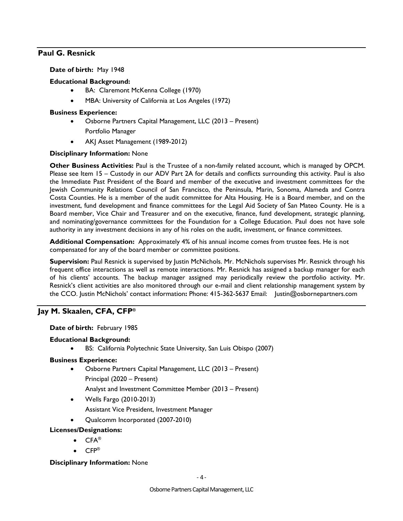## **Paul G. Resnick**

**Date of birth:** May 1948

## **Educational Background:**

- BA: Claremont McKenna College (1970)
- MBA: University of California at Los Angeles (1972)

### **Business Experience:**

- Osborne Partners Capital Management, LLC (2013 Present) Portfolio Manager
- AKJ Asset Management (1989-2012)

### **Disciplinary Information:** None

**Other Business Activities:** Paul is the Trustee of a non-family related account, which is managed by OPCM. Please see Item 15 – Custody in our ADV Part 2A for details and conflicts surrounding this activity. Paul is also the Immediate Past President of the Board and member of the executive and investment committees for the Jewish Community Relations Council of San Francisco, the Peninsula, Marin, Sonoma, Alameda and Contra Costa Counties. He is a member of the audit committee for Alta Housing. He is a Board member, and on the investment, fund development and finance committees for the Legal Aid Society of San Mateo County. He is a Board member, Vice Chair and Treasurer and on the executive, finance, fund development, strategic planning, and nominating/governance committees for the Foundation for a College Education. Paul does not have sole authority in any investment decisions in any of his roles on the audit, investment, or finance committees.

**Additional Compensation:** Approximately 4% of his annual income comes from trustee fees. He is not compensated for any of the board member or committee positions.

**Supervision:** Paul Resnick is supervised by Justin McNichols. Mr. McNichols supervises Mr. Resnick through his frequent office interactions as well as remote interactions. Mr. Resnick has assigned a backup manager for each of his clients' accounts. The backup manager assigned may periodically review the portfolio activity. Mr. Resnick's client activities are also monitored through our e-mail and client relationship management system by the CCO. Justin McNichols' contact information**:** Phone: 415-362-5637 Email: Justin@osbornepartners.com

## **Jay M. Skaalen, CFA, CFP®**

### **Date of birth:** February 1985

### **Educational Background:**

BS: California Polytechnic State University, San Luis Obispo (2007)

### **Business Experience:**

- Osborne Partners Capital Management, LLC (2013 Present) Principal (2020 – Present)
	- Analyst and Investment Committee Member (2013 Present)
- Wells Fargo (2010-2013)
	- Assistant Vice President, Investment Manager
- Qualcomm Incorporated (2007-2010)

### **Licenses/Designations:**

- CFA®
- CFP®

### **Disciplinary Information:** None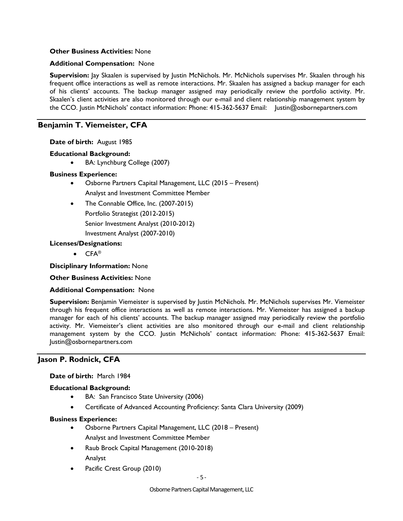### **Other Business Activities:** None

#### **Additional Compensation:** None

**Supervision:** Jay Skaalen is supervised by Justin McNichols. Mr. McNichols supervises Mr. Skaalen through his frequent office interactions as well as remote interactions. Mr. Skaalen has assigned a backup manager for each of his clients' accounts. The backup manager assigned may periodically review the portfolio activity. Mr. Skaalen's client activities are also monitored through our e-mail and client relationship management system by the CCO. Justin McNichols' contact information: Phone: 415-362-5637 Email: Justin@osbornepartners.com

## **Benjamin T. Viemeister, CFA**

**Date of birth:** August 1985

### **Educational Background:**

BA: Lynchburg College (2007)

### **Business Experience:**

- Osborne Partners Capital Management, LLC (2015 Present) Analyst and Investment Committee Member
- The Connable Office, Inc. (2007-2015) Portfolio Strategist (2012-2015) Senior Investment Analyst (2010-2012) Investment Analyst (2007-2010)

### **Licenses/Designations:**

 $\bullet$  CFA<sup>®</sup>

**Disciplinary Information:** None

**Other Business Activities:** None

#### **Additional Compensation:** None

**Supervision:** Benjamin Viemeister is supervised by Justin McNichols. Mr. McNichols supervises Mr. Viemeister through his frequent office interactions as well as remote interactions. Mr. Viemeister has assigned a backup manager for each of his clients' accounts. The backup manager assigned may periodically review the portfolio activity. Mr. Viemeister's client activities are also monitored through our e-mail and client relationship management system by the CCO. Justin McNichols' contact information: Phone: 415-362-5637 Email: Justin@osbornepartners.com

### **Jason P. Rodnick, CFA**

#### **Date of birth:** March 1984

#### **Educational Background:**

- BA: San Francisco State University (2006)
- Certificate of Advanced Accounting Proficiency: Santa Clara University (2009)

#### **Business Experience:**

- Osborne Partners Capital Management, LLC (2018 Present) Analyst and Investment Committee Member
- Raub Brock Capital Management (2010-2018) Analyst
- Pacific Crest Group (2010)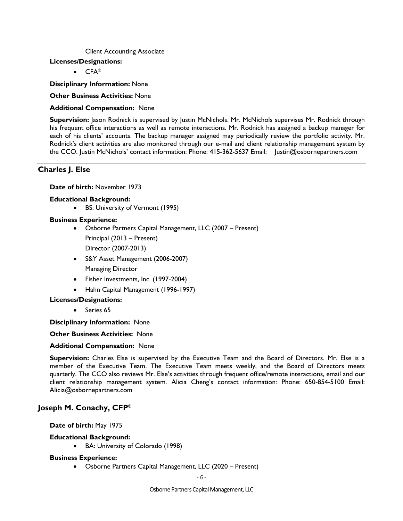Client Accounting Associate

#### **Licenses/Designations:**

CFA®

**Disciplinary Information:** None

**Other Business Activities:** None

### **Additional Compensation:** None

**Supervision:** Jason Rodnick is supervised by Justin McNichols. Mr. McNichols supervises Mr. Rodnick through his frequent office interactions as well as remote interactions. Mr. Rodnick has assigned a backup manager for each of his clients' accounts. The backup manager assigned may periodically review the portfolio activity. Mr. Rodnick's client activities are also monitored through our e-mail and client relationship management system by the CCO. Justin McNichols' contact information: Phone: 415-362-5637 Email: Justin@osbornepartners.com

## **Charles J. Else**

**Date of birth:** November 1973

### **Educational Background:**

BS: University of Vermont (1995)

### **Business Experience:**

- Osborne Partners Capital Management, LLC (2007 Present) Principal (2013 – Present) Director (2007-2013)
- S&Y Asset Management (2006-2007) Managing Director
- Fisher Investments, Inc. (1997-2004)
- Hahn Capital Management (1996-1997)

### **Licenses/Designations:**

Series 65

**Disciplinary Information:** None

#### **Other Business Activities:** None

#### **Additional Compensation:** None

**Supervision:** Charles Else is supervised by the Executive Team and the Board of Directors. Mr. Else is a member of the Executive Team. The Executive Team meets weekly, and the Board of Directors meets quarterly. The CCO also reviews Mr. Else's activities through frequent office/remote interactions, email and our client relationship management system. Alicia Cheng's contact information: Phone: 650-854-5100 Email: Alicia@osbornepartners.com

### **Joseph M. Conachy, CFP®**

**Date of birth:** May 1975

### **Educational Background:**

BA: University of Colorado (1998)

#### **Business Experience:**

Osborne Partners Capital Management, LLC (2020 – Present)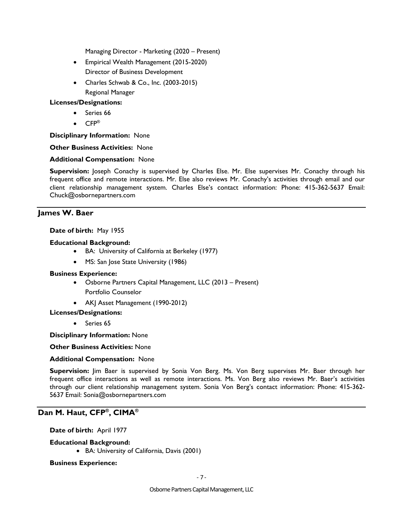Managing Director - Marketing (2020 – Present)

- Empirical Wealth Management (2015-2020) Director of Business Development
- Charles Schwab & Co., Inc. (2003-2015) Regional Manager

### **Licenses/Designations:**

- Series 66
- $\bullet$  CFP®

**Disciplinary Information:** None

### **Other Business Activities:** None

### **Additional Compensation:** None

**Supervision:** Joseph Conachy is supervised by Charles Else. Mr. Else supervises Mr. Conachy through his frequent office and remote interactions. Mr. Else also reviews Mr. Conachy's activities through email and our client relationship management system. Charles Else's contact information: Phone: 415-362-5637 Email: Chuck@osbornepartners.com

## **James W. Baer**

### **Date of birth:** May 1955

### **Educational Background:**

- BA: University of California at Berkeley (1977)
- MS: San Jose State University (1986)

### **Business Experience:**

- Osborne Partners Capital Management, LLC (2013 Present) Portfolio Counselor
- AKJ Asset Management (1990-2012)
- **Licenses/Designations:** 
	- Series 65

**Disciplinary Information:** None

**Other Business Activities:** None

### **Additional Compensation:** None

**Supervision:** Jim Baer is supervised by Sonia Von Berg. Ms. Von Berg supervises Mr. Baer through her frequent office interactions as well as remote interactions. Ms. Von Berg also reviews Mr. Baer's activities through our client relationship management system. Sonia Von Berg's contact information: Phone: 415-362- 5637 Email: Sonia@osbornepartners.com

# **Dan M. Haut, CFP®, CIMA®**

### **Date of birth:** April 1977

### **Educational Background:**

BA: University of California, Davis (2001)

### **Business Experience:**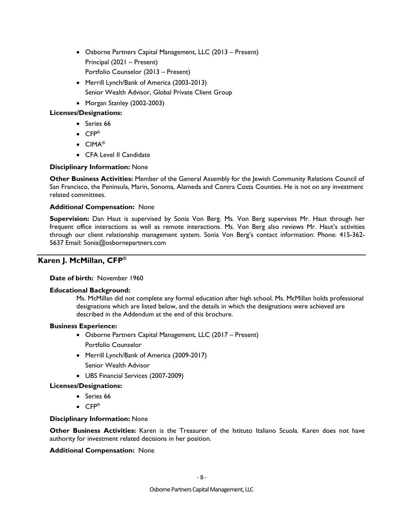- Osborne Partners Capital Management, LLC (2013 Present) Principal (2021 – Present) Portfolio Counselor (2013 – Present)
- Merrill Lynch/Bank of America (2003-2013) Senior Wealth Advisor, Global Private Client Group
- Morgan Stanley (2002-2003)

## **Licenses/Designations:**

- Series 66
- CFP®
- CIMA®
- CFA Level II Candidate

## **Disciplinary Information:** None

**Other Business Activities:** Member of the General Assembly for the Jewish Community Relations Council of San Francisco, the Peninsula, Marin, Sonoma, Alameda and Contra Costa Counties. He is not on any investment related committees.

### **Additional Compensation:** None

**Supervision:** Dan Haut is supervised by Sonia Von Berg. Ms. Von Berg supervises Mr. Haut through her frequent office interactions as well as remote interactions. Ms. Von Berg also reviews Mr. Haut's activities through our client relationship management system. Sonia Von Berg's contact information: Phone: 415-362- 5637 Email: Sonia@osbornepartners.com

# **Karen J. McMillan, CFP®**

### **Date of birth:** November 1960

### **Educational Background:**

Ms. McMillan did not complete any formal education after high school. Ms. McMillan holds professional designations which are listed below, and the details in which the designations were achieved are described in the Addendum at the end of this brochure.

### **Business Experience:**

- Osborne Partners Capital Management, LLC (2017 Present) Portfolio Counselor
- Merrill Lynch/Bank of America (2009-2017) Senior Wealth Advisor
- UBS Financial Services (2007-2009)

## **Licenses/Designations:**

- Series 66
- $\bullet$  CFP®

### **Disciplinary Information:** None

**Other Business Activities:** Karen is the Treasurer of the Istituto Italiano Scuola. Karen does not have authority for investment related decisions in her position.

### **Additional Compensation:** None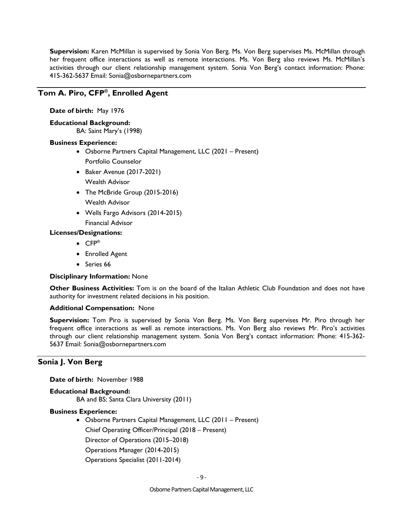**Supervision:** Karen McMillan is supervised by Sonia Von Berg. Ms. Von Berg supervises Ms. McMillan through her frequent office interactions as well as remote interactions. Ms. Von Berg also reviews Ms. McMillan's activities through our client relationship management system. Sonia Von Berg's contact information: Phone: 415-362-5637 Email: Sonia@osbornepartners.com

## **Tom A. Piro, CFP®, Enrolled Agent**

**Date of birth:** May 1976

**Educational Background:** 

BA: Saint Mary's (1998)

### **Business Experience:**

- Osborne Partners Capital Management, LLC (2021 Present) Portfolio Counselor
- Baker Avenue (2017-2021) Wealth Advisor
- The McBride Group (2015-2016)
- Wealth Advisor
- Wells Fargo Advisors (2014-2015) Financial Advisor

### **Licenses/Designations:**

- CFP®
- Enrolled Agent
- Series 66

### **Disciplinary Information:** None

**Other Business Activities:** Tom is on the board of the Italian Athletic Club Foundation and does not have authority for investment related decisions in his position.

#### **Additional Compensation:** None

**Supervision:** Tom Piro is supervised by Sonia Von Berg. Ms. Von Berg supervises Mr. Piro through her frequent office interactions as well as remote interactions. Ms. Von Berg also reviews Mr. Piro's activities through our client relationship management system. Sonia Von Berg's contact information: Phone: 415-362- 5637 Email: Sonia@osbornepartners.com

## **Sonia J. Von Berg**

**Date of birth:** November 1988

**Educational Background:**  BA and BS: Santa Clara University (2011)

#### **Business Experience:**

 Osborne Partners Capital Management, LLC (2011 – Present) Chief Operating Officer/Principal (2018 – Present) Director of Operations (2015–2018) Operations Manager (2014-2015) Operations Specialist (2011-2014)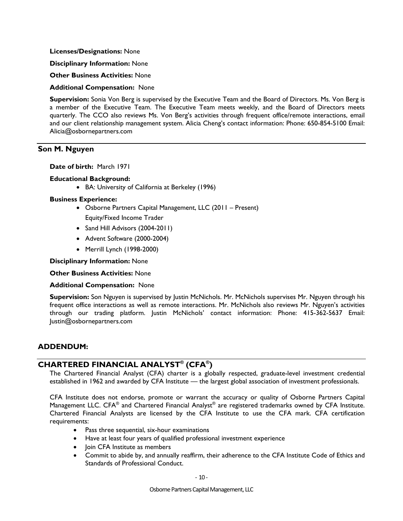**Licenses/Designations:** None

**Disciplinary Information:** None

**Other Business Activities:** None

**Additional Compensation:** None

**Supervision:** Sonia Von Berg is supervised by the Executive Team and the Board of Directors. Ms. Von Berg is a member of the Executive Team. The Executive Team meets weekly, and the Board of Directors meets quarterly. The CCO also reviews Ms. Von Berg's activities through frequent office/remote interactions, email and our client relationship management system. Alicia Cheng's contact information: Phone: 650-854-5100 Email: Alicia@osbornepartners.com

### **Son M. Nguyen**

**Date of birth:** March 1971

#### **Educational Background:**

BA: University of California at Berkeley (1996)

#### **Business Experience:**

- Osborne Partners Capital Management, LLC (2011 Present) Equity/Fixed Income Trader
- Sand Hill Advisors (2004-2011)
- Advent Software (2000-2004)
- Merrill Lynch (1998-2000)

**Disciplinary Information:** None

**Other Business Activities:** None

#### **Additional Compensation:** None

**Supervision:** Son Nguyen is supervised by Justin McNichols. Mr. McNichols supervises Mr. Nguyen through his frequent office interactions as well as remote interactions. Mr. McNichols also reviews Mr. Nguyen's activities through our trading platform. Justin McNichols' contact information: Phone: 415-362-5637 Email: Justin@osbornepartners.com

#### **ADDENDUM:**

### **CHARTERED FINANCIAL ANALYST® (CFA®)**

The Chartered Financial Analyst (CFA) charter is a globally respected, graduate-level investment credential established in 1962 and awarded by CFA Institute — the largest global association of investment professionals.

CFA Institute does not endorse, promote or warrant the accuracy or quality of Osborne Partners Capital Management LLC. CFA<sup>®</sup> and Chartered Financial Analyst<sup>®</sup> are registered trademarks owned by CFA Institute. Chartered Financial Analysts are licensed by the CFA Institute to use the CFA mark. CFA certification requirements:

- Pass three sequential, six-hour examinations
- Have at least four years of qualified professional investment experience
- Ioin CFA Institute as members
- Commit to abide by, and annually reaffirm, their adherence to the CFA Institute Code of Ethics and Standards of Professional Conduct.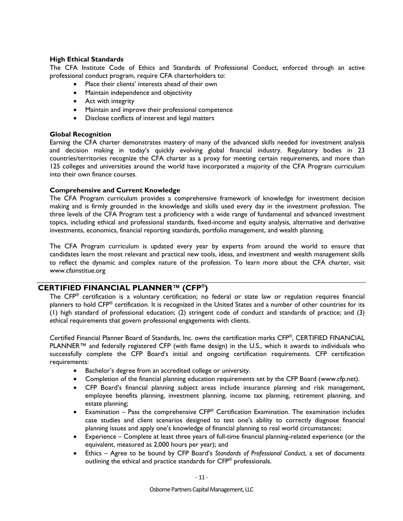### **High Ethical Standards**

The CFA Institute Code of Ethics and Standards of Professional Conduct, enforced through an active professional conduct program, require CFA charterholders to:

- Place their clients' interests ahead of their own
- Maintain independence and objectivity
- Act with integrity
- Maintain and improve their professional competence
- Disclose conflicts of interest and legal matters

### **Global Recognition**

Earning the CFA charter demonstrates mastery of many of the advanced skills needed for investment analysis and decision making in today's quickly evolving global financial industry. Regulatory bodies in 23 countries/territories recognize the CFA charter as a proxy for meeting certain requirements, and more than 125 colleges and universities around the world have incorporated a majority of the CFA Program curriculum into their own finance courses.

### **Comprehensive and Current Knowledge**

The CFA Program curriculum provides a comprehensive framework of knowledge for investment decision making and is firmly grounded in the knowledge and skills used every day in the investment profession. The three levels of the CFA Program test a proficiency with a wide range of fundamental and advanced investment topics, including ethical and professional standards, fixed-income and equity analysis, alternative and derivative investments, economics, financial reporting standards, portfolio management, and wealth planning.

The CFA Program curriculum is updated every year by experts from around the world to ensure that candidates learn the most relevant and practical new tools, ideas, and investment and wealth management skills to reflect the dynamic and complex nature of the profession. To learn more about the CFA charter, visit www.cfainstitue.org

# **CERTIFIED FINANCIAL PLANNER™ (CFP®)**

The CFP® certification is a voluntary certification; no federal or state law or regulation requires financial planners to hold CFP® certification. It is recognized in the United States and a number of other countries for its (1) high standard of professional education; (2) stringent code of conduct and standards of practice; and (3) ethical requirements that govern professional engagements with clients.

Certified Financial Planner Board of Standards, Inc. owns the certification marks CFP®, CERTIFIED FINANCIAL PLANNER™ and federally registered CFP (with flame design) in the U.S., which it awards to individuals who successfully complete the CFP Board's initial and ongoing certification requirements. CFP certification requirements:

- Bachelor's degree from an accredited college or university.
- Completion of the financial planning education requirements set by the CFP Board (www.cfp.net).
- CFP Board's financial planning subject areas include insurance planning and risk management, employee benefits planning, investment planning, income tax planning, retirement planning, and estate planning;
- Examination Pass the comprehensive  $CFP^{\circledast}$  Certification Examination. The examination includes case studies and client scenarios designed to test one's ability to correctly diagnose financial planning issues and apply one's knowledge of financial planning to real world circumstances;
- Experience Complete at least three years of full-time financial planning-related experience (or the equivalent, measured as 2,000 hours per year); and
- Ethics Agree to be bound by CFP Board's *Standards of Professional Conduct*, a set of documents outlining the ethical and practice standards for CFP® professionals.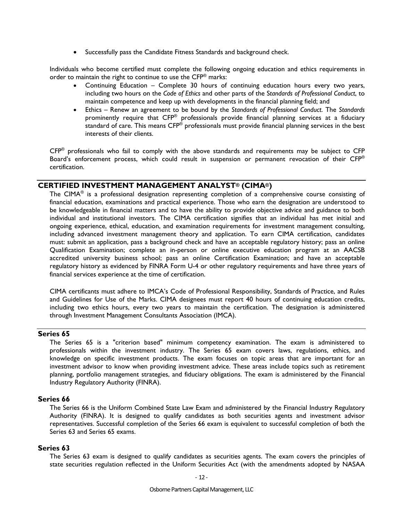• Successfully pass the Candidate Fitness Standards and background check.

Individuals who become certified must complete the following ongoing education and ethics requirements in order to maintain the right to continue to use the CFP® marks:

- Continuing Education Complete 30 hours of continuing education hours every two years, including two hours on the *Code of Ethics* and other parts of the S*tandards of Professional Conduct*, to maintain competence and keep up with developments in the financial planning field; and
- Ethics Renew an agreement to be bound by the *Standards of Professional Conduct*. The *Standards* prominently require that CFP® professionals provide financial planning services at a fiduciary standard of care. This means CFP<sup>®</sup> professionals must provide financial planning services in the best interests of their clients.

CFP® professionals who fail to comply with the above standards and requirements may be subject to CFP Board's enforcement process, which could result in suspension or permanent revocation of their CFP® certification.

## **CERTIFIED INVESTMENT MANAGEMENT ANALYST® (CIMA®)**

The CIMA<sup>®</sup> is a professional designation representing completion of a comprehensive course consisting of financial education, examinations and practical experience. Those who earn the designation are understood to be knowledgeable in financial matters and to have the ability to provide objective advice and guidance to both individual and institutional investors. The CIMA certification signifies that an individual has met initial and ongoing experience, ethical, education, and examination requirements for investment management consulting, including advanced investment management theory and application. To earn CIMA certification, candidates must: submit an application, pass a background check and have an acceptable regulatory history; pass an online Qualification Examination; complete an in-person or online executive education program at an AACSB accredited university business school; pass an online Certification Examination; and have an acceptable regulatory history as evidenced by FINRA Form U-4 or other regulatory requirements and have three years of financial services experience at the time of certification.

CIMA certificants must adhere to IMCA's Code of Professional Responsibility, Standards of Practice, and Rules and Guidelines for Use of the Marks. CIMA designees must report 40 hours of continuing education credits, including two ethics hours, every two years to maintain the certification. The designation is administered through Investment Management Consultants Association (IMCA).

## **Series 65**

The Series 65 is a "criterion based" minimum competency examination. The exam is administered to professionals within the investment industry. The Series 65 exam covers laws, regulations, ethics, and knowledge on specific investment products. The exam focuses on topic areas that are important for an investment advisor to know when providing investment advice. These areas include topics such as retirement planning, portfolio management strategies, and fiduciary obligations. The exam is administered by the Financial Industry Regulatory Authority (FINRA).

#### **Series 66**

The Series 66 is the Uniform Combined State Law Exam and administered by the Financial Industry Regulatory Authority (FINRA). It is designed to qualify candidates as both securities agents and investment advisor representatives. Successful completion of the Series 66 exam is equivalent to successful completion of both the Series 63 and Series 65 exams.

#### **Series 63**

The Series 63 exam is designed to qualify candidates as securities agents. The exam covers the principles of state securities regulation reflected in the Uniform Securities Act (with the amendments adopted by NASAA